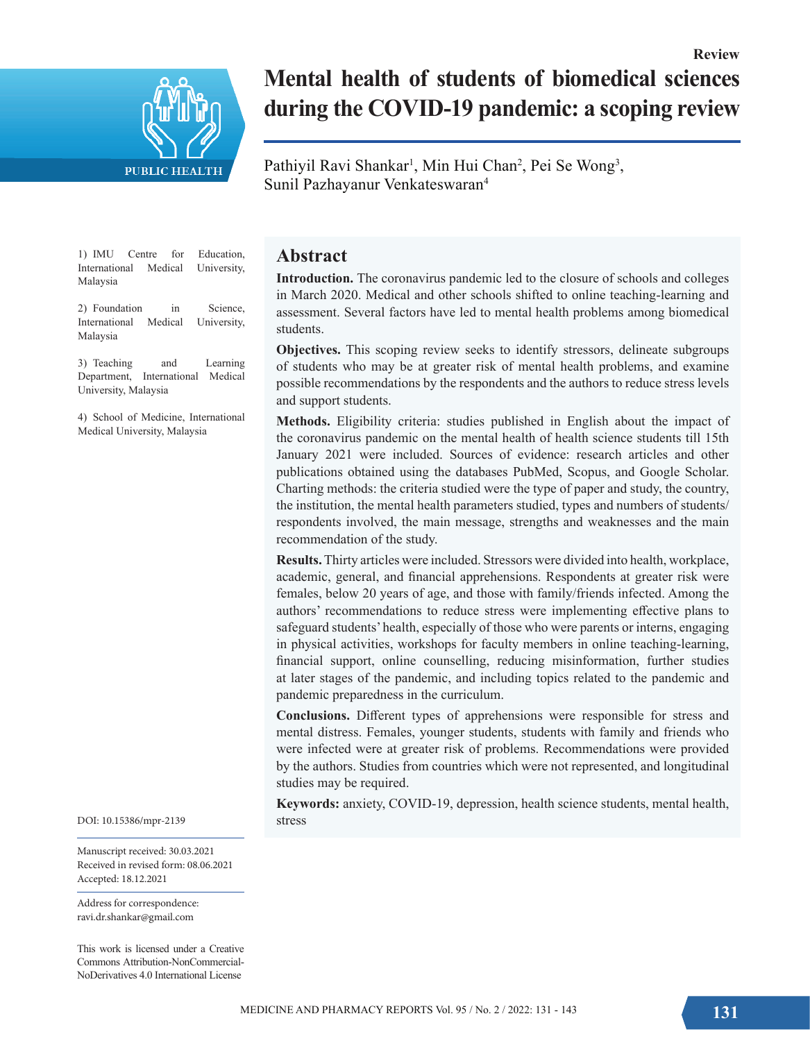

# **Mental health of students of biomedical sciences during the COVID-19 pandemic: a scoping review**

Pathiyil Ravi Shankar<sup>1</sup>, Min Hui Chan<sup>2</sup>, Pei Se Wong<sup>3</sup>, Sunil Pazhayanur Venkateswaran4

1) IMU Centre for Education,<br>International Medical University, International Medical Malaysia

2) Foundation in Science, International Medical University, Malaysia

3) Teaching and Learning Department, International Medical University, Malaysia

4) School of Medicine, International Medical University, Malaysia

DOI: 10.15386/mpr-2139

Manuscript received: 30.03.2021 Received in revised form: 08.06.2021 Accepted: 18.12.2021

Address for correspondence: ravi.dr.shankar@gmail.com

This work is licensed under a Creative Commons Attribution-NonCommercial-NoDerivatives 4.0 International License

## **Abstract**

**Introduction.** The coronavirus pandemic led to the closure of schools and colleges in March 2020. Medical and other schools shifted to online teaching-learning and assessment. Several factors have led to mental health problems among biomedical students.

**Objectives.** This scoping review seeks to identify stressors, delineate subgroups of students who may be at greater risk of mental health problems, and examine possible recommendations by the respondents and the authors to reduce stress levels and support students.

**Methods.** Eligibility criteria: studies published in English about the impact of the coronavirus pandemic on the mental health of health science students till 15th January 2021 were included. Sources of evidence: research articles and other publications obtained using the databases PubMed, Scopus, and Google Scholar. Charting methods: the criteria studied were the type of paper and study, the country, the institution, the mental health parameters studied, types and numbers of students/ respondents involved, the main message, strengths and weaknesses and the main recommendation of the study.

**Results.** Thirty articles were included. Stressors were divided into health, workplace, academic, general, and financial apprehensions. Respondents at greater risk were females, below 20 years of age, and those with family/friends infected. Among the authors' recommendations to reduce stress were implementing effective plans to safeguard students' health, especially of those who were parents or interns, engaging in physical activities, workshops for faculty members in online teaching-learning, financial support, online counselling, reducing misinformation, further studies at later stages of the pandemic, and including topics related to the pandemic and pandemic preparedness in the curriculum.

**Conclusions.** Different types of apprehensions were responsible for stress and mental distress. Females, younger students, students with family and friends who were infected were at greater risk of problems. Recommendations were provided by the authors. Studies from countries which were not represented, and longitudinal studies may be required.

**Keywords:** anxiety, COVID-19, depression, health science students, mental health, stress

**Review**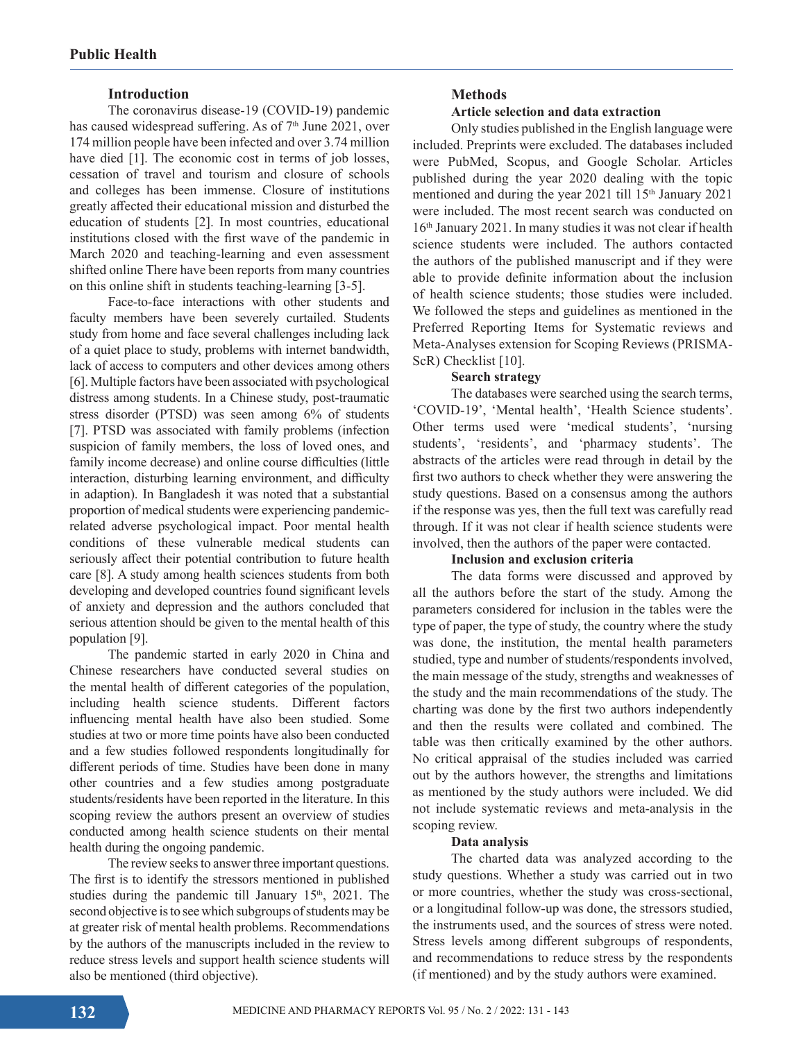### **Introduction**

The coronavirus disease-19 (COVID-19) pandemic has caused widespread suffering. As of 7<sup>th</sup> June 2021, over 174 million people have been infected and over 3.74 million have died [1]. The economic cost in terms of job losses, cessation of travel and tourism and closure of schools and colleges has been immense. Closure of institutions greatly affected their educational mission and disturbed the education of students [2]. In most countries, educational institutions closed with the first wave of the pandemic in March 2020 and teaching-learning and even assessment shifted online There have been reports from many countries on this online shift in students teaching-learning [3-5].

Face-to-face interactions with other students and faculty members have been severely curtailed. Students study from home and face several challenges including lack of a quiet place to study, problems with internet bandwidth, lack of access to computers and other devices among others [6]. Multiple factors have been associated with psychological distress among students. In a Chinese study, post-traumatic stress disorder (PTSD) was seen among 6% of students [7]. PTSD was associated with family problems (infection suspicion of family members, the loss of loved ones, and family income decrease) and online course difficulties (little interaction, disturbing learning environment, and difficulty in adaption). In Bangladesh it was noted that a substantial proportion of medical students were experiencing pandemicrelated adverse psychological impact. Poor mental health conditions of these vulnerable medical students can seriously affect their potential contribution to future health care [8]. A study among health sciences students from both developing and developed countries found significant levels of anxiety and depression and the authors concluded that serious attention should be given to the mental health of this population [9].

The pandemic started in early 2020 in China and Chinese researchers have conducted several studies on the mental health of different categories of the population, including health science students. Different factors influencing mental health have also been studied. Some studies at two or more time points have also been conducted and a few studies followed respondents longitudinally for different periods of time. Studies have been done in many other countries and a few studies among postgraduate students/residents have been reported in the literature. In this scoping review the authors present an overview of studies conducted among health science students on their mental health during the ongoing pandemic.

The review seeks to answer three important questions. The first is to identify the stressors mentioned in published studies during the pandemic till January 15<sup>th</sup>, 2021. The second objective is to see which subgroups of students may be at greater risk of mental health problems. Recommendations by the authors of the manuscripts included in the review to reduce stress levels and support health science students will also be mentioned (third objective).

## **Methods**

#### **Article selection and data extraction**

Only studies published in the English language were included. Preprints were excluded. The databases included were PubMed, Scopus, and Google Scholar. Articles published during the year 2020 dealing with the topic mentioned and during the year 2021 till 15<sup>th</sup> January 2021 were included. The most recent search was conducted on 16th January 2021. In many studies it was not clear if health science students were included. The authors contacted the authors of the published manuscript and if they were able to provide definite information about the inclusion of health science students; those studies were included. We followed the steps and guidelines as mentioned in the Preferred Reporting Items for Systematic reviews and Meta-Analyses extension for Scoping Reviews (PRISMA-ScR) Checklist [10].

#### **Search strategy**

The databases were searched using the search terms, 'COVID-19', 'Mental health', 'Health Science students'. Other terms used were 'medical students', 'nursing students', 'residents', and 'pharmacy students'. The abstracts of the articles were read through in detail by the first two authors to check whether they were answering the study questions. Based on a consensus among the authors if the response was yes, then the full text was carefully read through. If it was not clear if health science students were involved, then the authors of the paper were contacted.

## **Inclusion and exclusion criteria**

The data forms were discussed and approved by all the authors before the start of the study. Among the parameters considered for inclusion in the tables were the type of paper, the type of study, the country where the study was done, the institution, the mental health parameters studied, type and number of students/respondents involved, the main message of the study, strengths and weaknesses of the study and the main recommendations of the study. The charting was done by the first two authors independently and then the results were collated and combined. The table was then critically examined by the other authors. No critical appraisal of the studies included was carried out by the authors however, the strengths and limitations as mentioned by the study authors were included. We did not include systematic reviews and meta-analysis in the scoping review.

## **Data analysis**

The charted data was analyzed according to the study questions. Whether a study was carried out in two or more countries, whether the study was cross-sectional, or a longitudinal follow-up was done, the stressors studied, the instruments used, and the sources of stress were noted. Stress levels among different subgroups of respondents, and recommendations to reduce stress by the respondents (if mentioned) and by the study authors were examined.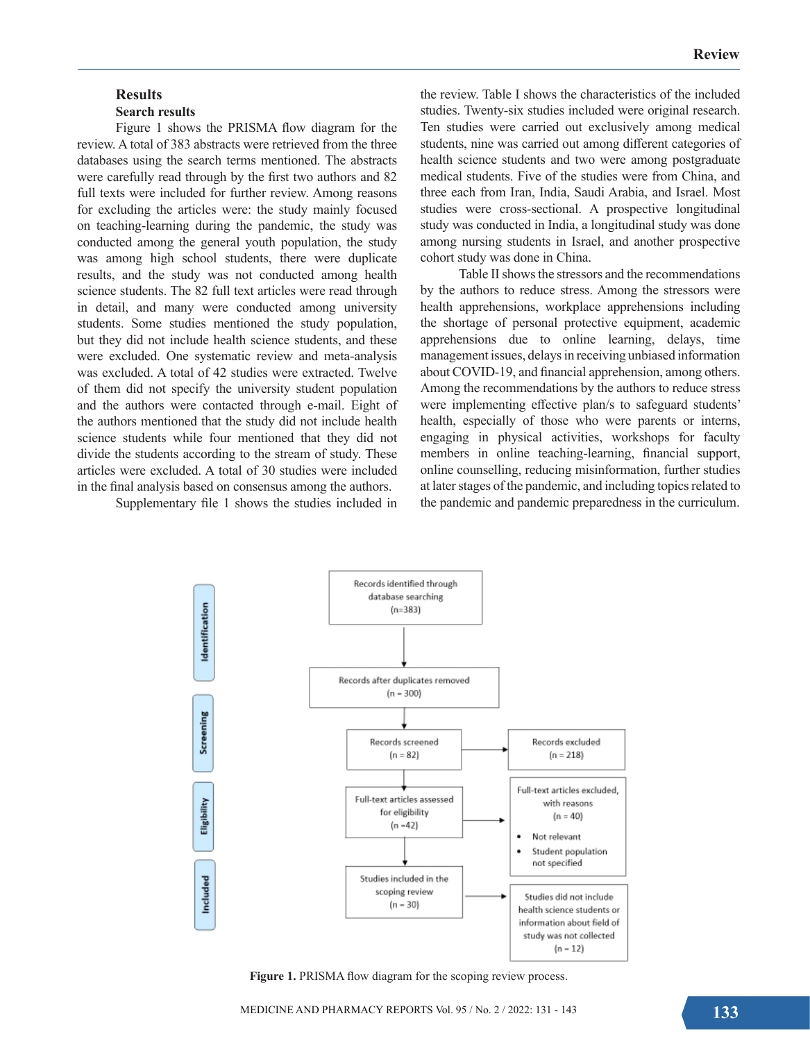## **Results Search results**

Figure 1 shows the PRISMA flow diagram for the review. A total of 383 abstracts were retrieved from the three databases using the search terms mentioned. The abstracts were carefully read through by the first two authors and 82 full texts were included for further review. Among reasons for excluding the articles were: the study mainly focused on teaching-learning during the pandemic, the study was conducted among the general youth population, the study was among high school students, there were duplicate results, and the study was not conducted among health science students. The 82 full text articles were read through in detail, and many were conducted among university students. Some studies mentioned the study population, but they did not include health science students, and these were excluded. One systematic review and meta-analysis was excluded. A total of 42 studies were extracted. Twelve of them did not specify the university student population and the authors were contacted through e-mail. Eight of the authors mentioned that the study did not include health science students while four mentioned that they did not divide the students according to the stream of study. These articles were excluded. A total of 30 studies were included in the final analysis based on consensus among the authors.

Supplementary file 1 shows the studies included in

the review. Table I shows the characteristics of the included studies. Twenty-six studies included were original research. Ten studies were carried out exclusively among medical students, nine was carried out among different categories of health science students and two were among postgraduate medical students. Five of the studies were from China, and three each from Iran, India, Saudi Arabia, and Israel. Most studies were cross-sectional. A prospective longitudinal study was conducted in India, a longitudinal study was done among nursing students in Israel, and another prospective cohort study was done in China.

Table II shows the stressors and the recommendations by the authors to reduce stress. Among the stressors were health apprehensions, workplace apprehensions including the shortage of personal protective equipment, academic apprehensions due to online learning, delays, time management issues, delays in receiving unbiased information about COVID-19, and financial apprehension, among others. Among the recommendations by the authors to reduce stress were implementing effective plan/s to safeguard students' health, especially of those who were parents or interns, engaging in physical activities, workshops for faculty members in online teaching-learning, financial support, online counselling, reducing misinformation, further studies at later stages of the pandemic, and including topics related to the pandemic and pandemic preparedness in the curriculum.



Figure 1. PRISMA flow diagram for the scoping review process.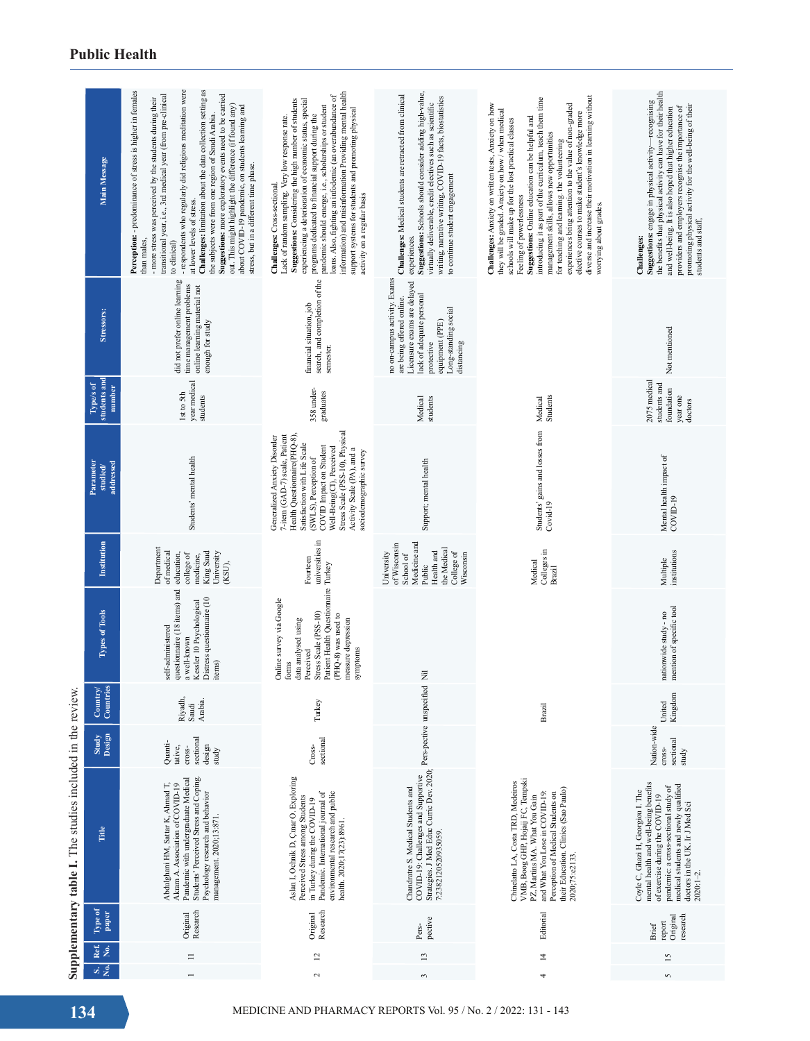|                                                            | Main Message                                                           | - respondents who regularly did religious meditation were<br>Challenges: limitation about the data collection setting as<br>Perception: - predominance of stress is higher in females<br>Suggestions: more exploratory events need to be carried<br>transitional year, i.e., 3rd medical year (from pre-clinical<br>- more stress was perceived by the students during their<br>out. This might highlight the difference (if found any)<br>about COVID-19 pandemic, on students learning and<br>the subjects were from one region of Saudi Arabia.<br>stress, but in a different time phase.<br>at lower levels of stress.<br>than males,<br>to clinical) | information) and misinformation Providing mental health<br>loans. Also, fighting an infodemic (an overabundance of<br>experiencing a deterioration of economic status, special<br>Suggestions: Considering the high number of students<br>pandemic should emerge, i.e., scholarships or student<br>support systems for students and promoting physical<br>programs dedicated to financial support during the<br>Lack of random sampling. Very low response rate.<br>Challenges: Cross-sectional.<br>activity on a regular basis | Suggestions: Schools should consider adding high-value,<br>Challenges: Medical students are retracted from clinical<br>writing, narrative writing, COVID-19 facts, biostatistics<br>virtually deliverable, credit electives such as scientific<br>to continue student engagement<br>experiences. | diverse and increase their motivation in learning without<br>introducing it as part of the curriculum, teach them time<br>Challenges: Anxiety on written tests, Anxiety on how<br>experiences bring attention to the value of non-graded<br>they will be graded. Anxiety on how / when medical<br>elective courses to make student's knowledge more<br>Suggestions: Online education can be helpful and<br>schools will make up for the lost practical classes<br>management skills, allows new opportunities<br>for teaching and learning, the volunteering<br>Feeling of powerlessness<br>worrying about grades. | the benefits that physical activity can have for their health<br>Suggestions: engage in physical activity-recognising<br>providers and employers recognise the importance of<br>promoting physical activity for the well-being of their<br>and well-being. It is also hoped that higher education<br>students and staff,<br>Challenges: |  |
|------------------------------------------------------------|------------------------------------------------------------------------|-----------------------------------------------------------------------------------------------------------------------------------------------------------------------------------------------------------------------------------------------------------------------------------------------------------------------------------------------------------------------------------------------------------------------------------------------------------------------------------------------------------------------------------------------------------------------------------------------------------------------------------------------------------|---------------------------------------------------------------------------------------------------------------------------------------------------------------------------------------------------------------------------------------------------------------------------------------------------------------------------------------------------------------------------------------------------------------------------------------------------------------------------------------------------------------------------------|--------------------------------------------------------------------------------------------------------------------------------------------------------------------------------------------------------------------------------------------------------------------------------------------------|--------------------------------------------------------------------------------------------------------------------------------------------------------------------------------------------------------------------------------------------------------------------------------------------------------------------------------------------------------------------------------------------------------------------------------------------------------------------------------------------------------------------------------------------------------------------------------------------------------------------|-----------------------------------------------------------------------------------------------------------------------------------------------------------------------------------------------------------------------------------------------------------------------------------------------------------------------------------------|--|
|                                                            | Stressors:                                                             | did not prefer online learning<br>time management problems<br>online learning material not<br>enough for study                                                                                                                                                                                                                                                                                                                                                                                                                                                                                                                                            | search, and completion of the<br>financial situation, job<br>semester.                                                                                                                                                                                                                                                                                                                                                                                                                                                          | no on-campus activity. Exams<br>Licensure exams are delayed<br>lack of adequate personal<br>are being offered online.<br>Long-standing social<br>equipment (PPE)<br>distancing<br>protective                                                                                                     |                                                                                                                                                                                                                                                                                                                                                                                                                                                                                                                                                                                                                    | Not mentioned                                                                                                                                                                                                                                                                                                                           |  |
|                                                            | students and<br>Type/s of<br>number                                    | year medical<br>Ist to 5th<br>students                                                                                                                                                                                                                                                                                                                                                                                                                                                                                                                                                                                                                    | 358 under-<br>graduates                                                                                                                                                                                                                                                                                                                                                                                                                                                                                                         | students<br>Medical                                                                                                                                                                                                                                                                              | Students<br>Medical                                                                                                                                                                                                                                                                                                                                                                                                                                                                                                                                                                                                | 2075 medical<br>students and<br>foundation<br>year one<br>doctors                                                                                                                                                                                                                                                                       |  |
|                                                            | Parameter<br>addressed<br>$\ensuremath{\mathbf{studied}}\xspace$       | Students' mental health                                                                                                                                                                                                                                                                                                                                                                                                                                                                                                                                                                                                                                   | Stress Scale (PSS-10), Physical<br>Health Questionnaire(PHQ-8),<br>7-item (GAD-7) scale, Patient<br>Generalized Anxiety Disorder<br>Satisfaction with Life Scale<br>COVID Impact on Student<br>Well-Being(CI), Perceived<br>Activity Scale (PA), and a<br>sociodemographic survey<br>(SWLS), Perception of                                                                                                                                                                                                                      | Support; mental health                                                                                                                                                                                                                                                                           | Students' gains and losses from<br>$Covid-19$                                                                                                                                                                                                                                                                                                                                                                                                                                                                                                                                                                      | Mental health impact of<br>COVID-19                                                                                                                                                                                                                                                                                                     |  |
|                                                            | Institution                                                            | Department<br>of medical<br>King Saud<br>University<br>college of<br>education,<br>medicine,<br>(KSU),                                                                                                                                                                                                                                                                                                                                                                                                                                                                                                                                                    | universities in<br>Fourteen                                                                                                                                                                                                                                                                                                                                                                                                                                                                                                     | Medicine and<br>of Wisconsin<br>the Medical<br>Health and<br>College of<br>University<br>Wisconsin<br>School of<br>Public                                                                                                                                                                        | Colleges in<br>Medical<br>Brazil                                                                                                                                                                                                                                                                                                                                                                                                                                                                                                                                                                                   | institutions<br>Multiple                                                                                                                                                                                                                                                                                                                |  |
|                                                            | Types of Tools                                                         | questionnaire (18 items) and<br>Distress questionnaire (10<br>Kessler 10 Psychological<br>self-administered<br>a well-known<br>items)                                                                                                                                                                                                                                                                                                                                                                                                                                                                                                                     | Patient Health Questionnaire Turkey<br>Online survey via Google<br>Stress Scale (PSS-10)<br>(PHQ-8) was used to<br>data analysed using<br>measure depression<br>symptoms<br>Perceived<br>forms                                                                                                                                                                                                                                                                                                                                  |                                                                                                                                                                                                                                                                                                  |                                                                                                                                                                                                                                                                                                                                                                                                                                                                                                                                                                                                                    | mention of specific tool<br>nationwide study - no                                                                                                                                                                                                                                                                                       |  |
|                                                            | $\geq 3$<br>Countr<br>Countri                                          | Riyadh,<br>Arabia.<br>Saudi                                                                                                                                                                                                                                                                                                                                                                                                                                                                                                                                                                                                                               | Turkey                                                                                                                                                                                                                                                                                                                                                                                                                                                                                                                          |                                                                                                                                                                                                                                                                                                  | Brazil                                                                                                                                                                                                                                                                                                                                                                                                                                                                                                                                                                                                             | Kingdom<br>United                                                                                                                                                                                                                                                                                                                       |  |
|                                                            | Study<br>Design                                                        | sectional<br>Quanti-<br>design<br>tative,<br>cross-<br>study                                                                                                                                                                                                                                                                                                                                                                                                                                                                                                                                                                                              | sectional<br>Cross-                                                                                                                                                                                                                                                                                                                                                                                                                                                                                                             |                                                                                                                                                                                                                                                                                                  |                                                                                                                                                                                                                                                                                                                                                                                                                                                                                                                                                                                                                    | Nation-wide<br>sectional<br>cross-<br>study                                                                                                                                                                                                                                                                                             |  |
| Supplementary table I. The studies included in the review. | Title                                                                  | Students' Perceived Stress and Coping.<br>Pandemic with undergraduate Medical<br>Abdulghani HM, Sattar K, Ahmad T,<br>Akram A. Association of COVID-19<br>Psychology research and behavior<br>management. 2020;13:871.                                                                                                                                                                                                                                                                                                                                                                                                                                    | Aslan I, Ochnik D, Çınar O. Exploring<br>Pandemic. International journal of<br>environmental research and public<br>Perceived Stress among Students<br>in Turkey during the COVID-19<br>health. 2020;17(23):8961                                                                                                                                                                                                                                                                                                                | COVID-19: Challenges and Supportive Pers-pective unspecified Nil Strategies. J Med Educ Curric Dev. 2020; Pers-pective unspecified Nil<br>Chandratre S. Medical Students and<br>7:2382120520935059.                                                                                              | VMB, Boog GHP, Hojaij FC, Tempski<br>Chinelatto LA, Costa TRD, Medeiros<br>their Education. Clinics (Sao Paulo)<br>and What You Lose in COVID-19:<br>Perception of Medical Students on<br>PZ, Martins MA. What You Gain<br>2020;75:e2133.                                                                                                                                                                                                                                                                                                                                                                          | mental health and well-being benefits<br>medical students and newly qualified<br>pandemic: a cross-sectional study of<br>Coyle C, Ghazi H, Georgiou I. The<br>of exercise during the COVID-19<br>doctors in the UK. Ir J Med Sci<br>$2020:1 - 2$                                                                                        |  |
|                                                            | Type of<br>paper                                                       | Research<br>Original                                                                                                                                                                                                                                                                                                                                                                                                                                                                                                                                                                                                                                      | Research<br>Original                                                                                                                                                                                                                                                                                                                                                                                                                                                                                                            | pective<br>Pers-                                                                                                                                                                                                                                                                                 | Editorial                                                                                                                                                                                                                                                                                                                                                                                                                                                                                                                                                                                                          | research<br>Original<br>report<br><b>Brief</b>                                                                                                                                                                                                                                                                                          |  |
|                                                            | Ref.<br>No.<br>si g                                                    | $\equiv$                                                                                                                                                                                                                                                                                                                                                                                                                                                                                                                                                                                                                                                  | $\overline{\omega}$<br>$\sim$                                                                                                                                                                                                                                                                                                                                                                                                                                                                                                   | $\overline{13}$<br>3                                                                                                                                                                                                                                                                             | $\overline{4}$<br>4                                                                                                                                                                                                                                                                                                                                                                                                                                                                                                                                                                                                | $\overline{15}$<br>5                                                                                                                                                                                                                                                                                                                    |  |
|                                                            | 134<br>MEDICINE AND PHARMACY REPORTS Vol. 95 / No. 2 / 2022: 131 - 143 |                                                                                                                                                                                                                                                                                                                                                                                                                                                                                                                                                                                                                                                           |                                                                                                                                                                                                                                                                                                                                                                                                                                                                                                                                 |                                                                                                                                                                                                                                                                                                  |                                                                                                                                                                                                                                                                                                                                                                                                                                                                                                                                                                                                                    |                                                                                                                                                                                                                                                                                                                                         |  |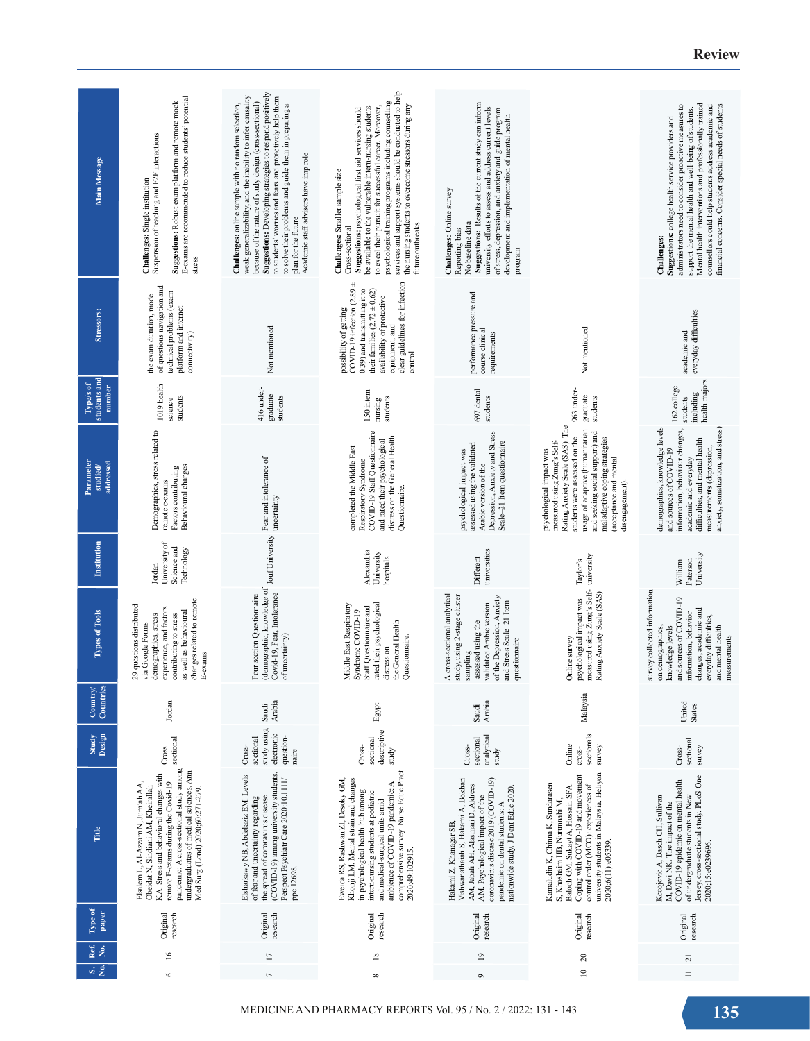| Main Message                          | E-exams are recommended to reduce students' potential<br>Suggestions: Robust exam platform and remote mock<br>Suspension of teaching and F2F interactions<br>Challenges: Single institution<br>stress                                                                                       | Suggestions: Developing strategies to respond positively<br>weak generalizability, and the inability to infer causality<br>to students' worries and fears and proactively help them<br>because of the nature of study design (cross-sectional).<br>to solve their problems and guide them in preparing a<br>Challenges: online sample with no random selection,<br>Academic staff advisers have imp role<br>plan for the future | psychological training programs including counselling<br>services and support systems should be conducted to help<br>the nursing students to overcome stressors during any<br>be available to the vulnerable intern-nursing students<br>to excel their pursuit for successful career. Moreover,<br>Suggestions: psychological first aid services should<br>Challenges: Smaller sample size<br>future outbreaks<br>Cross-sectional | Suggestions: Results of the current study can inform<br>university efforts to assess and address current levels<br>of stress, depression, and anxiety and guide program<br>development and implementation of mental health<br>Challenges: Online survey<br>No baseline data<br>Reporting bias<br>program |                                                                                                                                                                                                                                                                                | Mental health interventions and professionally trained<br>administrators need to consider proactive measures to<br>counsellors could help students address academic and<br>inancial concerns. Consider special needs of students<br>support the mental health and well-being of students.<br>Suggestions: college health service providers and<br>Challenges: |
|---------------------------------------|---------------------------------------------------------------------------------------------------------------------------------------------------------------------------------------------------------------------------------------------------------------------------------------------|---------------------------------------------------------------------------------------------------------------------------------------------------------------------------------------------------------------------------------------------------------------------------------------------------------------------------------------------------------------------------------------------------------------------------------|-----------------------------------------------------------------------------------------------------------------------------------------------------------------------------------------------------------------------------------------------------------------------------------------------------------------------------------------------------------------------------------------------------------------------------------|----------------------------------------------------------------------------------------------------------------------------------------------------------------------------------------------------------------------------------------------------------------------------------------------------------|--------------------------------------------------------------------------------------------------------------------------------------------------------------------------------------------------------------------------------------------------------------------------------|---------------------------------------------------------------------------------------------------------------------------------------------------------------------------------------------------------------------------------------------------------------------------------------------------------------------------------------------------------------|
| Stressors:                            | of questions navigation and<br>technical problems (exam<br>the exam duration, mode<br>platform and internet<br>connectivity)                                                                                                                                                                | Not mentioned                                                                                                                                                                                                                                                                                                                                                                                                                   | COVID-19 infection $(2.89 \pm$<br>clear guidelines for infection<br>0.39) and transmitting it to<br>their families $(2.72 \pm 0.62)$<br>availability of protective<br>possibility of getting<br>equipment, and<br>control                                                                                                                                                                                                         | performance pressure and<br>course clinical<br>requirements                                                                                                                                                                                                                                              | Not mentioned                                                                                                                                                                                                                                                                  | everyday difficulties<br>academic and                                                                                                                                                                                                                                                                                                                         |
| students and<br>Type/s of<br>number   | 1019 health<br>students<br>science                                                                                                                                                                                                                                                          | 416 under-<br>graduate<br>students                                                                                                                                                                                                                                                                                                                                                                                              | 150 intern<br>students<br>nursing                                                                                                                                                                                                                                                                                                                                                                                                 | 697 dental<br>students                                                                                                                                                                                                                                                                                   | 963 under-<br>graduate<br>students                                                                                                                                                                                                                                             | health majors<br>162 college<br>including<br>students                                                                                                                                                                                                                                                                                                         |
| Parameter<br>addressed<br>studied/    | Demographics, stress related to<br>Behavioural changes<br>Factors contributing<br>remote e-exams                                                                                                                                                                                            | Fear and intolerance of                                                                                                                                                                                                                                                                                                                                                                                                         | COVID-19 Staff Questionnaire<br>distress on the General Health<br>and rated their psychological<br>completed the Middle East<br>Respiratory Syndrome<br>Questionnaire.                                                                                                                                                                                                                                                            | Depression, Anxiety and Stress<br>Scale-21 Item questionnaire<br>assessed using the validated<br>psychological impact was<br>Arabic version of the                                                                                                                                                       | Rating Anxiety Scale (SAS). The<br>usage of adaptive (humanitarian<br>and seeking social support) and<br>students were assessed on the<br>maladaptive coping strategies<br>measured using Zung's Self-<br>psychological impact was<br>acceptance and mental<br>disengagement). | demographics, knowledge levels<br>anxiety, somatization, and stress)<br>information, behaviour changes,<br>difficulties, and mental health<br>and sources of COVID-19<br>measurements (depression,<br>academic and everyday                                                                                                                                   |
| Institution                           | University of<br>Science and<br>Technology<br>Jordan                                                                                                                                                                                                                                        |                                                                                                                                                                                                                                                                                                                                                                                                                                 | Alexandria<br>University<br>hospitals                                                                                                                                                                                                                                                                                                                                                                                             | universities<br>Different                                                                                                                                                                                                                                                                                | Taylor's                                                                                                                                                                                                                                                                       | University<br>Paterson<br>William                                                                                                                                                                                                                                                                                                                             |
| Types of Tools                        | changes related to remote<br>29 questions distributed<br>experience, and factors<br>as well as behavioural<br>contributing to stress<br>demographics, stress<br>via Google Forms<br>E-exams                                                                                                 | Four assessors in a constraint of the local University Features<br>(demographic, knowledge of Jouf University Incertainty)<br>Four section Questionnaire<br>of uncertainty)                                                                                                                                                                                                                                                     | Middle East Respiratory<br>rated their psychological<br>Staff Questionnaire and<br>Syndrome COVID-19<br>the General Health<br>Questionnaire.<br>distress on                                                                                                                                                                                                                                                                       | A cross-sectional analytical<br>study, using 2-stage cluster<br>of the Depression, Anxiety<br>and Stress Scale-21 Item<br>validated Arabic version<br>assessed using the<br>questionnaire<br>sampling                                                                                                    | measured using Zung's Self-university<br>Rating Anxiety Scale (SAS)<br>psychological impact was<br>Online survey                                                                                                                                                               | survey collected information<br>and sources of COVID-19<br>changes, academic and<br>information, behavior<br>everyday difficulties,<br>on demographics,<br>and mental health<br>knowledge levels<br>measurements                                                                                                                                              |
| Les<br>⋝<br>Countr<br>$_{\rm Comitr}$ | Jordan                                                                                                                                                                                                                                                                                      | Arabia<br>Saudi                                                                                                                                                                                                                                                                                                                                                                                                                 | Egypt                                                                                                                                                                                                                                                                                                                                                                                                                             | Arabia<br>Saudi                                                                                                                                                                                                                                                                                          | Malaysia                                                                                                                                                                                                                                                                       | United<br>States                                                                                                                                                                                                                                                                                                                                              |
| Design<br>Study                       | Cross                                                                                                                                                                                                                                                                                       | study using<br>electronic<br>question-<br>sectional<br>Cross-<br>naire                                                                                                                                                                                                                                                                                                                                                          | descriptive<br>sectional<br>Cross-<br>study                                                                                                                                                                                                                                                                                                                                                                                       | analytical<br>sectional<br>Cross-<br>study                                                                                                                                                                                                                                                               | sectionals<br>Online<br>survey<br>cross-                                                                                                                                                                                                                                       | sectional<br>survey<br>$Cross-$                                                                                                                                                                                                                                                                                                                               |
| Title                                 | pandemic: A cross-sectional study among sectional<br>KA. Stress and behavioral changes with<br>undergraduates of medical sciences. Ann<br>remote E-exams during the Covid-19<br>Elsalem L, Al-Azzam N, Jum'ah AA,<br>Obeidat N, Sindiani AM, Kheirallah<br>Med Surg (Lond) 2020;60:271-279. | (COVID-19) among university students.<br>Elsharkawy NB, Abdelaziz EM. Levels<br>Perspect Psychiatr Care 2020:10.1111/<br>of fear and uncertainty regarding<br>the spread of coronavirus disease<br>ppc.12698.                                                                                                                                                                                                                   | comprehensive survey. Nurse Educ Pract<br>Khonji LM. Mental strain and changes<br>Eweida RS, Rashwan ZI, Desoky GM,<br>ambience of COVID-19 pandemic: A<br>in psychological health hub among<br>intern-nursing students at pediatric<br>and medical-surgical units amid<br>2020;49:102915.                                                                                                                                        | coronavirus disease 2019 (COVID-19)<br>Vishwanathaiah S, Hakami A, Bokhari<br>AM, Jabali AH, Alasmari D, Aldress<br>nationwide study. J Dent Educ 2020.<br>AM. Psychological impact of the<br>pandemic on dental students: A<br>Hakami Z, Khanagar SB,                                                   | university students in Malaysia. Heliyon<br>Coping with COVID-19 and movement<br>Kamaludin K, Chinna K, Sundarasen<br>Baloch GM, Sukayt A, Hossain SFA.<br>control order (MCO): experiences of<br>S, Khoshaim HB, Nurunnabi M,<br>2020;6(11):e05339                            | Jersey, cross-sectional study. PLoS One<br>COVID-19 epidemic on mental health<br>Kecojevic A, Basch CH, Sullivan<br>of undergraduate students in New<br>M, Davi NK. The impact of the<br>2020;15:e0239696.                                                                                                                                                    |
| Type of<br>paper                      | research<br>Original                                                                                                                                                                                                                                                                        | research<br>Original                                                                                                                                                                                                                                                                                                                                                                                                            | Original<br>research                                                                                                                                                                                                                                                                                                                                                                                                              | Original<br>research                                                                                                                                                                                                                                                                                     | research<br>Original                                                                                                                                                                                                                                                           | Original<br>research                                                                                                                                                                                                                                                                                                                                          |
| Ref.<br>No.<br>si si                  | $\geq$<br>$\circ$                                                                                                                                                                                                                                                                           | $\overline{17}$<br>$\overline{ }$                                                                                                                                                                                                                                                                                                                                                                                               | $\overline{18}$<br>${}^{\circ}$                                                                                                                                                                                                                                                                                                                                                                                                   | $\overline{9}$<br>$\circ$                                                                                                                                                                                                                                                                                | $20\,$<br>$\approx$                                                                                                                                                                                                                                                            | $\overline{z}$<br>$\equiv$                                                                                                                                                                                                                                                                                                                                    |
|                                       |                                                                                                                                                                                                                                                                                             |                                                                                                                                                                                                                                                                                                                                                                                                                                 |                                                                                                                                                                                                                                                                                                                                                                                                                                   |                                                                                                                                                                                                                                                                                                          |                                                                                                                                                                                                                                                                                |                                                                                                                                                                                                                                                                                                                                                               |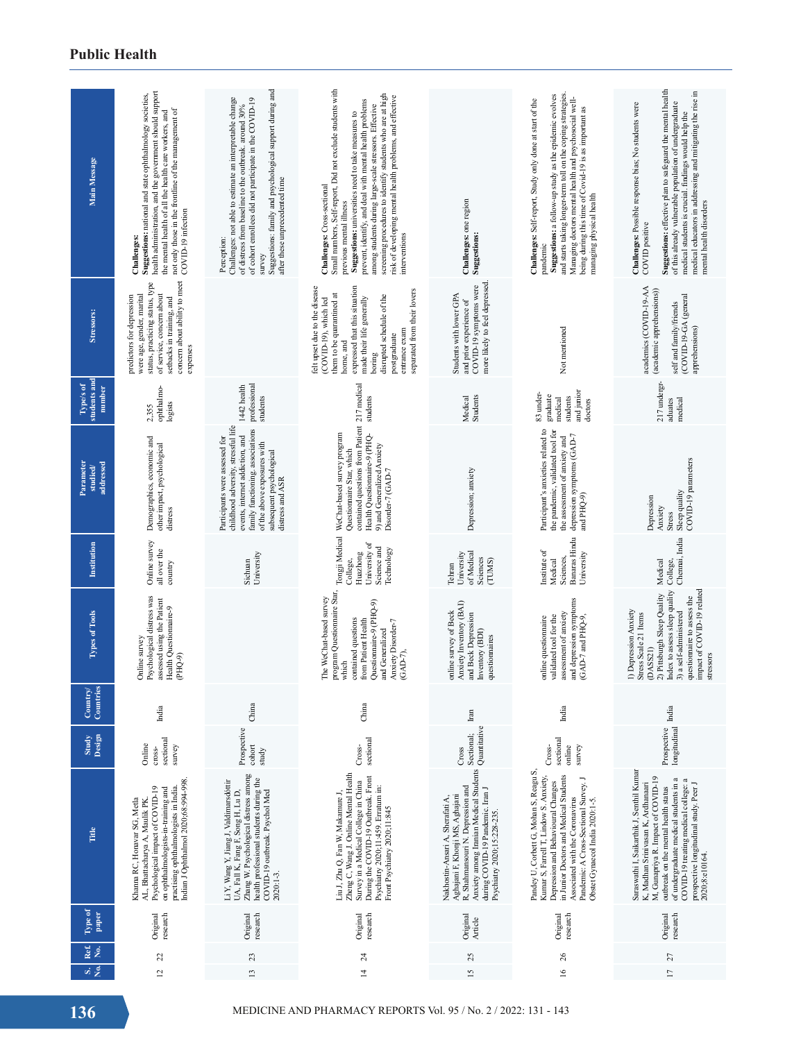| Main Message                        | health administration, and the government should support<br>Suggestions: national and state ophthalmology societies,<br>not only those in the frontline of the management of<br>the mental health of all the health care workers, and<br>COVID-19 infection<br>Challenges: | Suggestions: family and psychological support during and<br>Challenges: not able to estimate an interpretable change<br>of cohort enrollees did not participate in the COVID-19<br>of distress from baseline to the outbreak. around 30%<br>after these unprecedented time<br>Perception:<br>survey | Small numbers, Self-report, Did not exclude students with<br>screening procedures to identify students who are at high<br>risk of developing mental health problems, and effective<br>prevent, identify, and deal with mental health problems<br>among students during large-scale stressors. Effective<br>Suggestions: universities need to take measures to<br>Challenges: Cross-sectional<br>previous mental illness<br>interventions | Challenges: one region<br><b>Suggestions:</b>                                                                                                                                                                        | and starts taking longer-term toll on the coping strategies<br>Suggestions: a follow-up study as the epidemic evolves<br>Managing doctors mental health and psychosocial well-<br>Challenges: Self-report, Study only done at start of the<br>being during this time of Covid-19 is as important as<br>managing physical health<br>pandemic | Suggestions: effective plan to safeguard the mental health<br>medical educators in addressing and mitigating the rise in<br>of this already vulnerable population of undergraduate<br>Challenges: Possible response bias; No students were<br>medical students is crucial. findings would help the<br>mental health disorders<br>COVID positive |
|-------------------------------------|----------------------------------------------------------------------------------------------------------------------------------------------------------------------------------------------------------------------------------------------------------------------------|-----------------------------------------------------------------------------------------------------------------------------------------------------------------------------------------------------------------------------------------------------------------------------------------------------|------------------------------------------------------------------------------------------------------------------------------------------------------------------------------------------------------------------------------------------------------------------------------------------------------------------------------------------------------------------------------------------------------------------------------------------|----------------------------------------------------------------------------------------------------------------------------------------------------------------------------------------------------------------------|---------------------------------------------------------------------------------------------------------------------------------------------------------------------------------------------------------------------------------------------------------------------------------------------------------------------------------------------|-------------------------------------------------------------------------------------------------------------------------------------------------------------------------------------------------------------------------------------------------------------------------------------------------------------------------------------------------|
| Stressors:                          | concern about ability to meet<br>status, practicing status, type<br>of service, concern about<br>predictors for depression<br>were age, gender, marital<br>setbacks in training, and<br>expenses                                                                           |                                                                                                                                                                                                                                                                                                     | felt upset due to the disease<br>expressed that this situation<br>separated from their lovers<br>them to be quarantined at<br>disrupted schedule of the<br>made their life generally<br>(COVID-19), which led<br>entrance exam<br>postgraduate<br>home, and<br>boring                                                                                                                                                                    | more likely to feel depressed<br>COVID-19 symptoms were<br>Students with lower GPA<br>and prior experience of                                                                                                        | Not mentioned                                                                                                                                                                                                                                                                                                                               | academics (COVID-19-AA<br>(academic apprehensions))<br>(COVID-19-GA (general<br>self and family/friends<br>apprehensions)                                                                                                                                                                                                                       |
| students and<br>Type/s of<br>number | ophthalmo-<br>logists<br>2,355                                                                                                                                                                                                                                             | professional<br>1442 health<br>students                                                                                                                                                                                                                                                             | students                                                                                                                                                                                                                                                                                                                                                                                                                                 | Students<br>Medical                                                                                                                                                                                                  | and junior<br>83 under-<br>graduate<br>students<br>medical<br>doctors                                                                                                                                                                                                                                                                       | 217 undergr-<br>medical<br>aduates                                                                                                                                                                                                                                                                                                              |
| addressed<br>Parameter<br>studied/  | Demographics, economic and<br>other impact, psychological<br>distress                                                                                                                                                                                                      | childhood adversity, stressful life<br>family functioning. associations<br>events, internet addiction, and<br>Participants were assessed for<br>of the above exposures with<br>subsequent psychological<br>distress and ASR                                                                         | contained questions from Patient 217 medical<br>Tongji Medical WeChat-based survey program<br>Health Questiomaire-9 (PHQ-<br>9) and Generalized Anxiety<br>Questionnaire Star, which<br>Disorder-7 (GAD-7                                                                                                                                                                                                                                | Depression; anxiety                                                                                                                                                                                                  | Participant's anxieties related to<br>the pandemic, validated tool for<br>depression symptoms (GAD-7<br>the assessment of anxiety and<br>and PHQ-9)                                                                                                                                                                                         | COVID-19 parameters<br>Sleep quality<br>Depression<br>Anxiety<br>Stress                                                                                                                                                                                                                                                                         |
| Institution                         | Online survey<br>all over the<br>country                                                                                                                                                                                                                                   | University<br>Sichuan                                                                                                                                                                                                                                                                               | University of<br>Science and<br>Technology<br>Huazhong<br>College,                                                                                                                                                                                                                                                                                                                                                                       | of Medical<br>University<br>Sciences<br>(TUMS)<br>Tehran                                                                                                                                                             | Banaras Hindu<br>Institute of<br>University<br>Sciences,<br>Medical                                                                                                                                                                                                                                                                         | Chennai, India<br>Medical<br>College,                                                                                                                                                                                                                                                                                                           |
| <b>Types of Tools</b>               | Psychological distress was<br>assessed using the Patient<br>Health Questionnaire-9<br>Online survey<br>(PHQ-9)                                                                                                                                                             |                                                                                                                                                                                                                                                                                                     | program Questionnaire Star,<br>The WeChat-based survey<br>Questionnaire-9 (PHQ-9)<br>contained questions<br>from Patient Health<br>Anxiety Disorder-7<br>and Generalized<br>(GAD-7),<br>which                                                                                                                                                                                                                                            | Anxiety Inventory (BAI)<br>online survey of Beck<br>and Beck Depression<br>Inventory (BDI)<br>questionnaires                                                                                                         | and depression symptoms<br>assessment of anxiety<br>validated tool for the<br>online questionnaire<br>(GAD-7 and PHQ-9,                                                                                                                                                                                                                     | impact of COVID-19 related<br>Index to assess sleep quality<br>2) Pittsburgh Sleep Quality<br>questionnaire to assess the<br>1) Depression Anxiety<br>3) a self-administered<br>Stress Scale 21 Items<br>(DASS21)<br>stressors                                                                                                                  |
| Countries<br>Country                | India                                                                                                                                                                                                                                                                      | China                                                                                                                                                                                                                                                                                               | China                                                                                                                                                                                                                                                                                                                                                                                                                                    | Iran                                                                                                                                                                                                                 | India                                                                                                                                                                                                                                                                                                                                       | India                                                                                                                                                                                                                                                                                                                                           |
| Study<br>Design                     | sectional<br>Online<br>survey<br>cross-                                                                                                                                                                                                                                    | Prospective<br>cohort<br>study                                                                                                                                                                                                                                                                      | sectional<br>Cross-                                                                                                                                                                                                                                                                                                                                                                                                                      | Quantitative<br>Sectional;<br>Cross                                                                                                                                                                                  | sectional<br>online<br>survey<br>Cross-                                                                                                                                                                                                                                                                                                     | longitudinal<br>Prospective                                                                                                                                                                                                                                                                                                                     |
| Title                               | indian J Ophthalmol 2020; 68: 994-998.<br>practising ophthalmologists in India.<br>Psychological impact of COVID-19<br>on ophthalmologists-in-training and<br>Khanna RC, Honavar SG, Metla<br>AL, Bhattacharya A, Maulik PK                                                | Zhang W. Psychological distress among<br>health professional students during the<br>Li Y, Wang Y, Jiang J, Valdimarsdóttir<br>UA, Fall K, Fang F, Song H, Lu D,<br>COVID-19 outbreak. Psychol Med<br>2020:1-3.                                                                                      | Zheng C, Wang J. Online Mental Health<br>During the COVID-19 Outbreak. Front<br>Survey in a Medical College in China<br>Psychiatry 2020;11:459. Erratum in:<br>.iu J, Zhu Q, Fan W, Makamure J,<br>Front Psychiatry 2020;11:845                                                                                                                                                                                                          | Anxiety among Iranian Medical Students<br>R, Shahmansouri N. Depression and<br>during COVID-19 Pandemic. Iran J<br>Aghajani F, Khonji MS, Aghajani<br>Nakhostin-Ansari A, Sherafati A,<br>Psychiatry 2020;15:228-235 | Pandey U, Corbett G, Mohan S, Reagu S,<br>in Junior Doctors and Medical Students<br>Kumar S, Farrell T, Lindow S. Anxiety,<br>Pandemic: A Cross-Sectional Survey. J<br>Depression and Behavioural Changes<br>Associated with the Coronavirus<br>Obstet Gynaecol India 2020:1-5.                                                             | Saraswathi I, Saikarthik J, Senthil Kumar<br>M, Gunapriya R. Impact of COVID-19<br>of undergraduate medical students in a<br>COVID-19 treating medical college: a<br>prospective longitudinal study. Peer J<br>K, Madhan Srinivasan K, Ardhanaari<br>outbreak on the mental health status<br>2020;8:e10164.                                     |
| Type of<br>paper                    | Original<br>research                                                                                                                                                                                                                                                       | research<br>Original                                                                                                                                                                                                                                                                                | Original<br>research                                                                                                                                                                                                                                                                                                                                                                                                                     | Original<br>Article                                                                                                                                                                                                  | Original<br>research                                                                                                                                                                                                                                                                                                                        | research<br>Original                                                                                                                                                                                                                                                                                                                            |
| Ref.<br>No.<br>نو نه                | 22<br>12                                                                                                                                                                                                                                                                   | 23<br>$\overline{13}$                                                                                                                                                                                                                                                                               | $\overline{24}$<br>$\overline{4}$                                                                                                                                                                                                                                                                                                                                                                                                        | 25<br>51                                                                                                                                                                                                             | $^{26}$<br>$\overline{16}$                                                                                                                                                                                                                                                                                                                  | 27<br>$\overline{1}$                                                                                                                                                                                                                                                                                                                            |
| 136                                 | MEDICINE AND PHARMACY REPORTS Vol. 95 / No. 2 / 2022: 131 - 143                                                                                                                                                                                                            |                                                                                                                                                                                                                                                                                                     |                                                                                                                                                                                                                                                                                                                                                                                                                                          |                                                                                                                                                                                                                      |                                                                                                                                                                                                                                                                                                                                             |                                                                                                                                                                                                                                                                                                                                                 |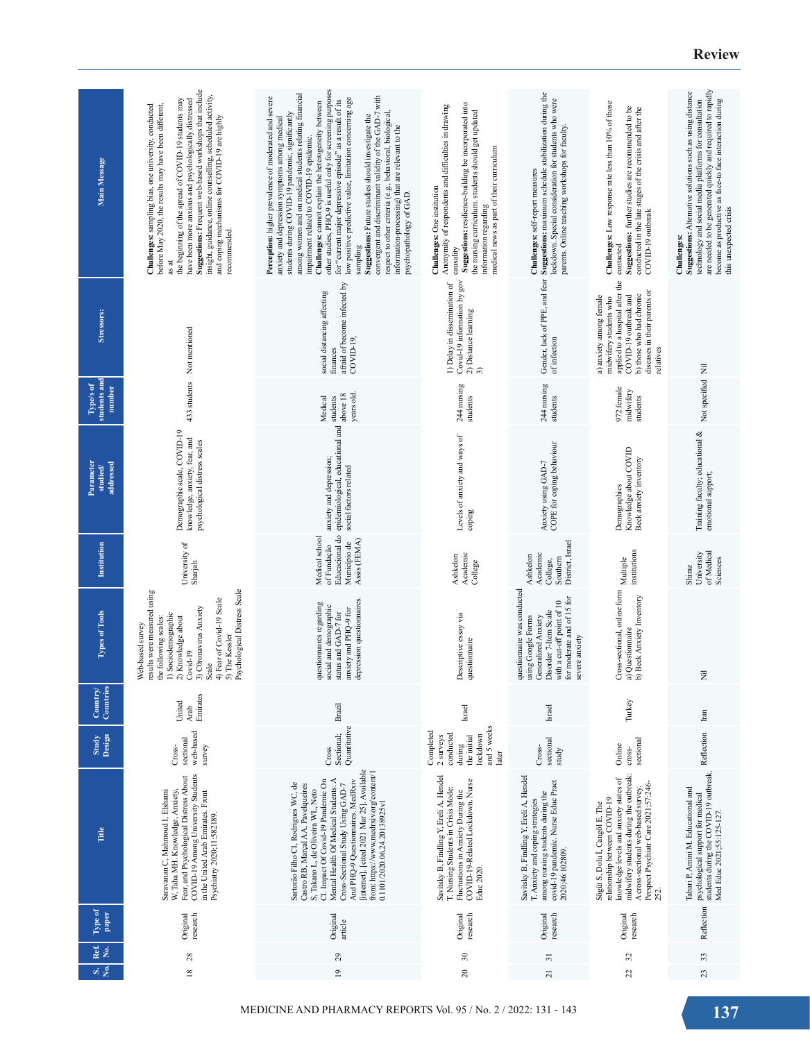| Main Message                                                       | Suggestions: Frequent web-based workshops that include<br>insight, guidance, online counselling, scheduled activity,<br>the beginning of the spread of COVID-19 students may<br>have been more anxious and psychologically distressed<br>Challenges: sampling bias, one university, conducted<br>before May 2020, the results may have been different,<br>and coping mechanisms for COVID-19 are highly<br>recommended.<br>as at | other studies, PHQ-9 is useful only for screening purposes<br>among women and on medical students relating financial<br>convergent and discriminant validity of the GAD-7 with<br>Perception: higher prevalence of moderated and severe<br>low positive predictive value, limitation concerning age<br>for "current major depressive episode" as a result of its<br>Challenges: cannot explain the heterogeneity between<br>students during COVID-19 pandemic, significantly<br>respect to other criteria (e.g., behavioral, biological,<br>Suggestions: Future studies should investigate the<br>anxiety and depression symptoms among medical<br>information-processing) that are relevant to the<br>impairment related to COVID-19 epidemic.<br>psychopathology of GAD.<br>sampling | Suggestions: resilience-building be incorporated into<br>Anonymity of respondents and difficulties in drawing<br>the nursing curriculum. students should get updated<br>medical news as part of their curriculum<br>Challenges: One institution<br>information regarding<br>causality | Suggestions: maximum schedule stabilization during the<br>lockdown. Special consideration for students who were<br>parents. Online teaching workshops for faculty.<br>Challenges: self-report measures | Challenges: Low response rate less than 10% of those<br>Suggestions: further studies are recommended to be<br>conducted in the late stages of the crisis and after the<br>COVID-19 outbreak<br>contacted                                    | are needed to be generated quickly and required to rapidly<br>Suggestions: Alternative solutions such as using distance<br>technology and social media platforms for consultation<br>become as productive as face-to face interaction during<br>this unexpected crisis<br>Challenges: |
|--------------------------------------------------------------------|----------------------------------------------------------------------------------------------------------------------------------------------------------------------------------------------------------------------------------------------------------------------------------------------------------------------------------------------------------------------------------------------------------------------------------|----------------------------------------------------------------------------------------------------------------------------------------------------------------------------------------------------------------------------------------------------------------------------------------------------------------------------------------------------------------------------------------------------------------------------------------------------------------------------------------------------------------------------------------------------------------------------------------------------------------------------------------------------------------------------------------------------------------------------------------------------------------------------------------|---------------------------------------------------------------------------------------------------------------------------------------------------------------------------------------------------------------------------------------------------------------------------------------|--------------------------------------------------------------------------------------------------------------------------------------------------------------------------------------------------------|---------------------------------------------------------------------------------------------------------------------------------------------------------------------------------------------------------------------------------------------|---------------------------------------------------------------------------------------------------------------------------------------------------------------------------------------------------------------------------------------------------------------------------------------|
| Stressors:                                                         | 433 students Not mentioned                                                                                                                                                                                                                                                                                                                                                                                                       | afraid of become infected by<br>social distancing affecting<br>COVID-19<br>finances                                                                                                                                                                                                                                                                                                                                                                                                                                                                                                                                                                                                                                                                                                    | Covid-19 information by gov<br>1) Delay in dissemination of<br>2) Distance learning 3)                                                                                                                                                                                                | Gender, lack of PPE, and fear<br>of infection                                                                                                                                                          | applied to a hospital after the<br>diseases in their parents or<br>b) those who had chronic<br>a) anxiety among female<br>COVID-19 outbreak and<br>midwifery students who<br>relatives                                                      |                                                                                                                                                                                                                                                                                       |
| students and<br>Type/s of<br>number                                |                                                                                                                                                                                                                                                                                                                                                                                                                                  | years old<br>above 18<br>Medical<br>students                                                                                                                                                                                                                                                                                                                                                                                                                                                                                                                                                                                                                                                                                                                                           | 244 nursing<br>students                                                                                                                                                                                                                                                               | 244 nursing<br>students                                                                                                                                                                                | 972 female<br>midwifery<br>students                                                                                                                                                                                                         | Not specified Nil                                                                                                                                                                                                                                                                     |
| Parameter<br>addressed<br>$\ensuremath{\mathbf{studied}}\xspace /$ | Demographic scale, COVID-19<br>knowledge, anxiety, fear, and<br>psychological distress scales                                                                                                                                                                                                                                                                                                                                    | Educacional do epidemiological, educational and<br>anxiety and depression;<br>social factors related                                                                                                                                                                                                                                                                                                                                                                                                                                                                                                                                                                                                                                                                                   | Levels of anxiety and ways of<br>coping                                                                                                                                                                                                                                               | COPE for coping behaviour<br>Anxiety using GAD-7                                                                                                                                                       | Knowledge about COVID<br>Beck anxiety inventory<br>Demographics                                                                                                                                                                             | Training faculty; educational &<br>emotional support;                                                                                                                                                                                                                                 |
| Institution                                                        | University of<br>Sharjah                                                                                                                                                                                                                                                                                                                                                                                                         | Medical school<br>Assis (FEMA)<br>Município de<br>of Fundação                                                                                                                                                                                                                                                                                                                                                                                                                                                                                                                                                                                                                                                                                                                          | Academic<br>Ashkelon<br>College                                                                                                                                                                                                                                                       | District, Israel<br>Academic<br>Ashkelon<br>Southern<br>College,                                                                                                                                       | institutions<br>Multiple                                                                                                                                                                                                                    | of Medical<br>University<br>Sciences<br>Shiraz                                                                                                                                                                                                                                        |
| Types of Tools                                                     | Psychological Distress Scale<br>results were measured using<br>4) Fear of Covid-19 Scale<br>3) C0ronavirus Anxiety<br>1) Sociodemographic<br>$2)$ Knowledge about<br>the following scales:<br>Web-based survey<br>5) The Kessler<br>$Covid-19$<br>Scale                                                                                                                                                                          | depression questionnaires.<br>questionnaires regarding<br>social and demographic<br>anxiety and PHQ-9 for<br>status and GAD-7 for                                                                                                                                                                                                                                                                                                                                                                                                                                                                                                                                                                                                                                                      | Descriptive essay via<br>questionnaire                                                                                                                                                                                                                                                | questionnaire was conducted<br>for moderate and of 15 for<br>with a cut-off point of 10<br>Disorder 7-Item Scale<br>using Google Forms<br>Generalized Anxiety<br>severe anxiety                        | Cross-sectional, online form<br>b) Beck Anxiety Inventory<br>a) Questionnaire                                                                                                                                                               | Ē                                                                                                                                                                                                                                                                                     |
| ಿ<br>Country<br>Countrie                                           | Emirates<br>United<br>Arab                                                                                                                                                                                                                                                                                                                                                                                                       | <b>Brazil</b>                                                                                                                                                                                                                                                                                                                                                                                                                                                                                                                                                                                                                                                                                                                                                                          | Israel                                                                                                                                                                                                                                                                                | Israel                                                                                                                                                                                                 | Turkey                                                                                                                                                                                                                                      | Inn                                                                                                                                                                                                                                                                                   |
| Design<br>Study                                                    | web-based<br>sectional<br>survey<br>Cross-                                                                                                                                                                                                                                                                                                                                                                                       | Quantitative<br>Sectional;<br>Cross                                                                                                                                                                                                                                                                                                                                                                                                                                                                                                                                                                                                                                                                                                                                                    | and 5 weeks<br>Completed<br>conducted<br>lockdown<br>2 surveys<br>the initial<br>during<br>later                                                                                                                                                                                      | sectional<br>Cross-<br>study                                                                                                                                                                           | sectional<br>Online<br>$\mathrm{cross-}$                                                                                                                                                                                                    | Reflection                                                                                                                                                                                                                                                                            |
| Title                                                              | COVID-19 Among University Students<br>Fear, and Psychological Distress About<br>Saravanan C, Mahmoud I, Elshami<br>W, Taha MH. Knowledge, Anxiety,<br>in the United Arab Emirates. Front<br>Psychiatry 2020;11:582189.                                                                                                                                                                                                           | [internet]. [cited 2021 Mar 25]. Available<br>from: https://www.medrxiv.org/content/1<br>Mental Health Of Medical Students: A<br>And PHQ-9 Questiomaires. MedRxiv<br>CI. Impact Of Covid-19 Pandemic On<br>Sartorão Filho CI, Rodrigues WC, de<br>Castro RB, Marçal AA, Pavelqueires<br>Cross-Sectional Study Using GAD-7<br>S, Takano L, de Oliveira WL, Neto<br>0.1101/2020.06.24.20138925v1                                                                                                                                                                                                                                                                                                                                                                                         | Savitsky B, Findling Y, Ereli A, Hendel<br>COVID-19-Related Lockdown. Nurse<br>T. Nursing Students in Crisis Mode:<br>Fluctuations in Anxiety During the<br>Educ 2020.                                                                                                                | Savitsky B, Findling Y, Ereli A, Hendel<br>covid-19 pandemic. Nurse Educ Pract<br>among nursing students during the<br>T. Anxiety and coping strategies<br>2020;46:102809.                             | midwifery students during the outbreak:<br>knowledge levels and anxiety states of<br>Perspect Psychiatr Care 2021;57:246-<br>A cross-sectional web-based survey.<br>relationship between COVID-19<br>Sögüt S, Dolu İ, Cangöl E. The<br>252. | students during the COVID-19 outbreak.<br>Tabari P, Amini M. Educational and<br>psychological support for medical<br>Med Educ 2021;55:125-127                                                                                                                                         |
| Type of<br>paper                                                   | Original<br>research                                                                                                                                                                                                                                                                                                                                                                                                             | Original<br>article                                                                                                                                                                                                                                                                                                                                                                                                                                                                                                                                                                                                                                                                                                                                                                    | Original<br>research                                                                                                                                                                                                                                                                  | Original<br>research                                                                                                                                                                                   | Original<br>research                                                                                                                                                                                                                        | Reflection                                                                                                                                                                                                                                                                            |
| Ref.<br>No.                                                        | 28                                                                                                                                                                                                                                                                                                                                                                                                                               | $^{29}$                                                                                                                                                                                                                                                                                                                                                                                                                                                                                                                                                                                                                                                                                                                                                                                | $\approx$                                                                                                                                                                                                                                                                             | $\overline{31}$                                                                                                                                                                                        | $\mathfrak{L}$                                                                                                                                                                                                                              | 33                                                                                                                                                                                                                                                                                    |
| vi s                                                               | $\overline{8}$                                                                                                                                                                                                                                                                                                                                                                                                                   | $\overline{9}$                                                                                                                                                                                                                                                                                                                                                                                                                                                                                                                                                                                                                                                                                                                                                                         | $\approx$                                                                                                                                                                                                                                                                             | $\overline{z}$                                                                                                                                                                                         | $\mathfrak{A}$                                                                                                                                                                                                                              | 23                                                                                                                                                                                                                                                                                    |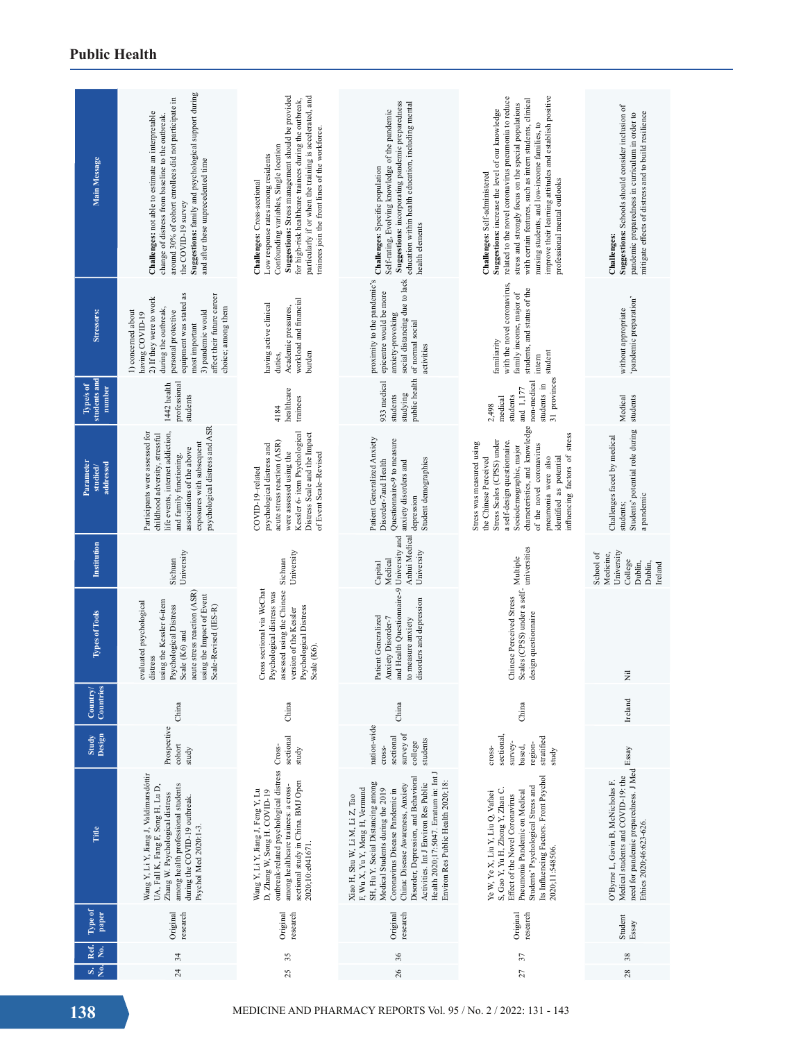| Main Message                                                           | Suggestions: family and psychological support during<br>around 30% of cohort enrollees did not participate in<br>Challenges: not able to estimate an interpretable<br>change of distress from baseline to the outbreak.<br>and after these unprecedented time<br>the COVID-19 survey | Suggestions: Stress management should be provided<br>particularly if or when the training is accelerated, and<br>for high-risk healthcare trainees during the outbreak,<br>trainees join the front lines of the workforce.<br>Confounding variables, Single location<br>Low response rates among residents<br>Challenges: Cross-sectional | Suggestions: incorporating pandemic preparedness<br>education within health education, including mental<br>Self-rating, Evolving knowledge of the pandemic<br>Challenges: Specific population<br>health elements                                                                                                                                                                  | related to the novel coronavirus pneumonia to reduce<br>improve their learning attitudes and establish positive<br>with certain features, such as intern students, clinical<br>stress and strongly focus on the special populations<br>Suggestions: increase the level of our knowledge<br>nursing students, and low-income families, to<br>Challenges: Self-administered<br>professional mental outlooks | Suggestions: Schools should consider inclusion of<br>mitigate effects of distress and to build resilience<br>pandemic preparedness in curriculum in order to<br>Challenges: |  |  |
|------------------------------------------------------------------------|--------------------------------------------------------------------------------------------------------------------------------------------------------------------------------------------------------------------------------------------------------------------------------------|-------------------------------------------------------------------------------------------------------------------------------------------------------------------------------------------------------------------------------------------------------------------------------------------------------------------------------------------|-----------------------------------------------------------------------------------------------------------------------------------------------------------------------------------------------------------------------------------------------------------------------------------------------------------------------------------------------------------------------------------|-----------------------------------------------------------------------------------------------------------------------------------------------------------------------------------------------------------------------------------------------------------------------------------------------------------------------------------------------------------------------------------------------------------|-----------------------------------------------------------------------------------------------------------------------------------------------------------------------------|--|--|
| <b>Stressors:</b>                                                      | equipment was stated as<br>affect their future career<br>2) If they were to work<br>choice; among them<br>during the outbreak,<br>3) pandemic would<br>personal protective<br>1) concerned about<br>having COVID-19<br>most important                                                | workload and financial<br>having active clinical<br>Academic pressures,<br>burden<br>duties,                                                                                                                                                                                                                                              | proximity to the pandemic's<br>social distancing due to lack<br>epicentre would be more<br>anxiety-provoking<br>of normal social<br>activities                                                                                                                                                                                                                                    | with the novel coronavirus,<br>students, and status of the<br>family income, major of<br>familiarity<br>student<br>intern                                                                                                                                                                                                                                                                                 | 'pandemic preparation'<br>without appropriate                                                                                                                               |  |  |
| students and<br>Type/s of<br>number                                    | professional<br>1442 health<br>students                                                                                                                                                                                                                                              | healthcare<br>trainees<br>4184                                                                                                                                                                                                                                                                                                            | public health<br>933 medical<br>students<br>studying                                                                                                                                                                                                                                                                                                                              | 31 provinces<br>non-medical<br>students in<br>and 1,177<br>students<br>medical<br>2,498                                                                                                                                                                                                                                                                                                                   | Medical<br>students                                                                                                                                                         |  |  |
| <b>Parameter</b><br>addressed<br>studied                               | psychological distress and ASR<br>life events, internet addiction,<br>Participants were assessed for<br>childhood adversity, stressful<br>exposures with subsequent<br>associations of the above<br>and family functioning.                                                          | Kessler 6- item Psychological<br>Distress Scale and the Impact<br>acute stress reaction (ASR)<br>psychological distress and<br>were assessed using the<br>of Event Scale-Revised<br>COVID-19-related                                                                                                                                      | Patient Generalized Anxiety<br>Questionnaire-9 to measure<br>Student demographics<br>Disorder-7and Health<br>anxiety disorders and<br>depression                                                                                                                                                                                                                                  | characteristics, and knowledge<br>influencing factors of stress<br>Stress Scales (CPSS) under<br>a self-design questionnaire.<br>Stress was measured using<br>of the novel coronavirus<br>Sociodemographic, major<br>identified as potential<br>the Chinese Perceived<br>pneumonia were also                                                                                                              | Students' potential role during<br>Challenges faced by medical<br>a pandemic<br>students;                                                                                   |  |  |
| Institution                                                            | University<br>Sichuan                                                                                                                                                                                                                                                                | University<br>Sichuan                                                                                                                                                                                                                                                                                                                     | Anhui Medical<br>University and<br>University<br>Medical<br>Capital                                                                                                                                                                                                                                                                                                               | universities                                                                                                                                                                                                                                                                                                                                                                                              | University<br>School of<br>Medicine,<br>College<br>Dublin,<br>Dublin,<br>Ireland                                                                                            |  |  |
| <b>Types of Tools</b>                                                  | acute stress reaction (ASR)<br>using the Impact of Event<br>using the Kessler 6-item<br>evaluated psychological<br>Psychological Distress<br>Scale-Revised (IES-R)<br>Scale (K6) and<br>distress                                                                                     | Cross sectional via WeChat<br>assessed using the Chinese<br>Psychological distress was<br>Psychological Distress<br>version of the Kessler<br>Scale (K6)                                                                                                                                                                                  | and Health Questionnaire-9<br>disorders and depression<br>Patient Generalized<br>Anxiety Disorder-7<br>to measure anxiety                                                                                                                                                                                                                                                         | Scales (CPSS) under a self-<br>Multiple<br>Chinese Perceived Stress<br>design questionnaire                                                                                                                                                                                                                                                                                                               | Ē                                                                                                                                                                           |  |  |
| $\geq$<br>Count<br>$_{\rm Comnt}$                                      | China                                                                                                                                                                                                                                                                                | China                                                                                                                                                                                                                                                                                                                                     | China                                                                                                                                                                                                                                                                                                                                                                             | China                                                                                                                                                                                                                                                                                                                                                                                                     | Ireland                                                                                                                                                                     |  |  |
| Study<br>Design                                                        | Prospective<br>$\mathop{\rm cofor}\nolimits$<br>study                                                                                                                                                                                                                                | sectional<br>study                                                                                                                                                                                                                                                                                                                        | nation-wide<br>survey of<br>sectional<br>students<br>college<br>cross-                                                                                                                                                                                                                                                                                                            | sectional,<br>stratified<br>survey-<br>region-<br>based,<br>cross-<br>study                                                                                                                                                                                                                                                                                                                               |                                                                                                                                                                             |  |  |
| Title                                                                  | Wang Y, Li Y, Jiang J, Valdimarsdóttir<br>UA, Fall K, Fang F, Song H, Lu D,<br>among health professional students<br>Zhang W. Psychological distress<br>during the COVID-19 outbreak.<br>Psychol Med 2020:1-3.                                                                       | outbreak-related psychological distress Cross-<br>sectional study in China. BMJ Open<br>among healthcare trainees: a cross-<br>Wang Y, Li Y, Jiang J, Feng Y, Lu<br>D, Zhang W, Song H. COVID-19<br>2020;10:e041671.                                                                                                                      | Health 2020;17:5047. Erratum in: Int J<br>Disorder, Depression, and Behavioral<br>Environ Res Public Health 2020;18:<br>SH, Hu Y. Social Distancing among<br>Activities. Int J Environ Res Public<br>China: Disease Awareness, Anxiety<br>F, Wu X, Yu Y, Meng H, Vermund<br>Medical Students during the 2019<br>Coronavirus Disease Pandemic in<br>Xiao H, Shu W, Li M, Li Z, Tao | Its Influencing Factors. Front Psychol<br>Students' Psychological Stress and<br>S, Gao Y, Yu H, Zhong Y, Zhan C.<br>Pneumonia Pandemic on Medical<br>Ye W, Ye X, Liu Y, Liu Q, Vafaei<br>Effect of the Novel Coronavirus<br>2020;11:548506.                                                                                                                                                               | need for pandemic preparedness. J Med Essay<br>Medical students and COVID-19: the<br>O'Byme L, Gavin B, McNicholas F.<br>Ethics 2020;46:623-626.                            |  |  |
| Type of<br>paper                                                       | research<br>Original                                                                                                                                                                                                                                                                 | Original<br>research                                                                                                                                                                                                                                                                                                                      | Original<br>research                                                                                                                                                                                                                                                                                                                                                              | Original<br>research                                                                                                                                                                                                                                                                                                                                                                                      | Student<br>Essay                                                                                                                                                            |  |  |
| Ref.<br>No.<br>$\overline{\text{a}^{\text{c}}$                         | 34<br>$^{24}$                                                                                                                                                                                                                                                                        | 35<br>25                                                                                                                                                                                                                                                                                                                                  | 36<br>26                                                                                                                                                                                                                                                                                                                                                                          | 57<br>27                                                                                                                                                                                                                                                                                                                                                                                                  | 38<br>28                                                                                                                                                                    |  |  |
| 138<br>MEDICINE AND PHARMACY REPORTS Vol. 95 / No. 2 / 2022: 131 - 143 |                                                                                                                                                                                                                                                                                      |                                                                                                                                                                                                                                                                                                                                           |                                                                                                                                                                                                                                                                                                                                                                                   |                                                                                                                                                                                                                                                                                                                                                                                                           |                                                                                                                                                                             |  |  |

## **Public Health**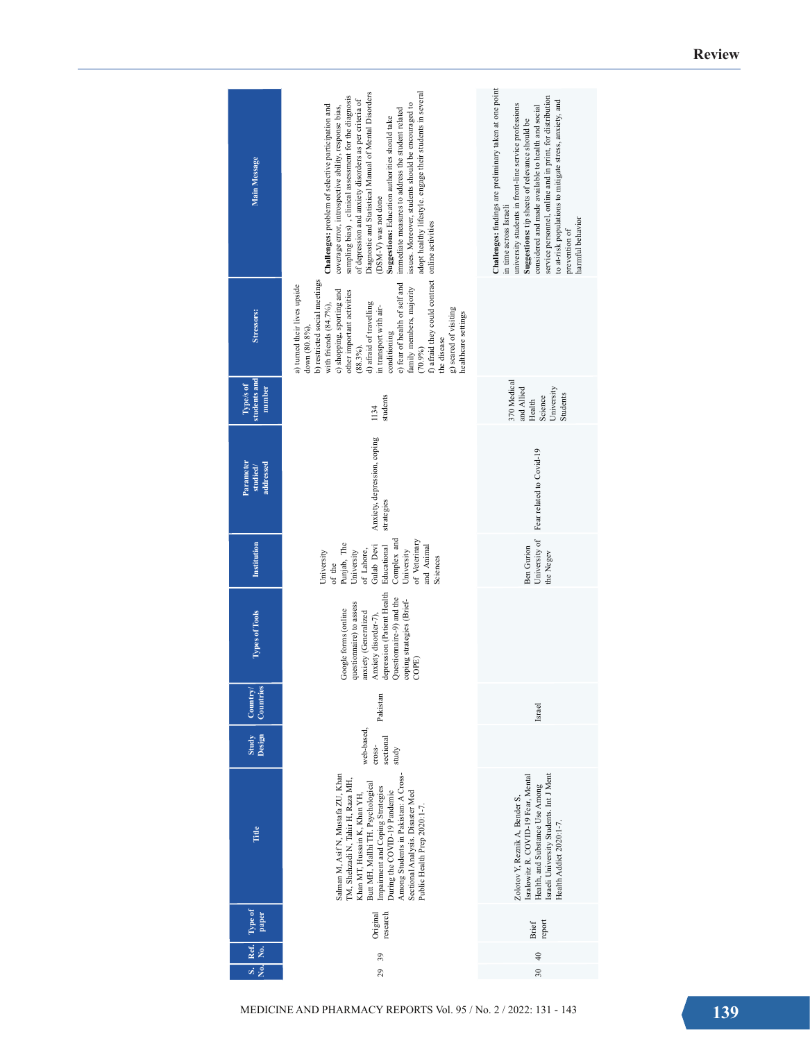| Main Message                        | adopt healthy lifestyle. engage their students in several<br>Diagnostic and Statistical Manual of Mental Disorders<br>sampling bias), clinical assessment for the diagnosis<br>of depression and anxiety disorders as per criteria of<br>issues. Moreover, students should be encouraged to<br>Challenges: problem of selective participation and<br>coverage error, introspective ability, response bias,<br>immediate measures to address the student related<br>Suggestions: Education authorities should take<br>(DSM-V) was not done | Challenges: findings are preliminary taken at one point<br>service personnel, online and in print, for distribution<br>to at-risk populations to mitigate stress, anxiety, and<br>university students in front-line service professions<br>considered and made available to health and social<br>Suggestions: tip sheets of relevance should be<br>in time across Israeli<br>harmful behavior<br>prevention of |
|-------------------------------------|-------------------------------------------------------------------------------------------------------------------------------------------------------------------------------------------------------------------------------------------------------------------------------------------------------------------------------------------------------------------------------------------------------------------------------------------------------------------------------------------------------------------------------------------|----------------------------------------------------------------------------------------------------------------------------------------------------------------------------------------------------------------------------------------------------------------------------------------------------------------------------------------------------------------------------------------------------------------|
| Stressors:                          | f) afraid they could contract online activities<br>b) restricted social meetings<br>e) fear of health of self and<br>a) turned their lives upside<br>family members, majority<br>c) shopping, sporting and<br>other important activities<br>with friends $(84.7\%)$ ,<br>d) afraid of travelling<br>in transport with air-<br>g) scared of visiting<br>healthcare settings<br>down (80.8%),<br>conditioning<br>the disease<br>$(88.3\%)$ .<br>(70.9%)                                                                                     |                                                                                                                                                                                                                                                                                                                                                                                                                |
| students and<br>Type/s of<br>number | students<br>1134                                                                                                                                                                                                                                                                                                                                                                                                                                                                                                                          | 370 Medical<br>and Allied<br>University<br>Students<br>Science<br>Health                                                                                                                                                                                                                                                                                                                                       |
| Parameter<br>addressed<br>studied/  | Anxiety, depression, coping<br>strategies                                                                                                                                                                                                                                                                                                                                                                                                                                                                                                 | Fear related to Covid-19                                                                                                                                                                                                                                                                                                                                                                                       |
| Institution                         | Complex and<br>of Veterinary<br>Punjab, The<br>Gulab Devi<br>and Animal<br>Educational<br>University<br>of Lahore,<br>University<br>University<br>Sciences<br>of the                                                                                                                                                                                                                                                                                                                                                                      | University of<br><b>Ben Gurion</b><br>the Negev                                                                                                                                                                                                                                                                                                                                                                |
| <b>Types of Tools</b>               | depression (Patient Health<br>Questionnaire-9) and the<br>coping strategies (Brief-<br>questionnaire) to assess<br>Google forms (online<br>anxiety (Generalized<br>Anxiety disorder-7),<br>COPE)                                                                                                                                                                                                                                                                                                                                          |                                                                                                                                                                                                                                                                                                                                                                                                                |
| ries<br>Country<br>Count            | Pakistan                                                                                                                                                                                                                                                                                                                                                                                                                                                                                                                                  | Israel                                                                                                                                                                                                                                                                                                                                                                                                         |
| Design<br>Study                     | web-based,<br>sectional<br>cross-<br>study                                                                                                                                                                                                                                                                                                                                                                                                                                                                                                |                                                                                                                                                                                                                                                                                                                                                                                                                |
| Title                               | Among Students in Pakistan: A Cross-<br>Salman M, Asif N, Mustafa ZU, Khan<br>TM, Shehzadi N, Tahir H, Raza MH,<br>Butt MH, Mallhi TH. Psychological<br>Impairment and Coping Strategies<br>During the COVID-19 Pandemic<br>Sectional Analysis. Disaster Med<br>Khan MT, Hussain K, Khan YH,<br>Public Health Prep 2020:1-7.                                                                                                                                                                                                              | Israeli University Students. Int J Ment<br>Isralowitz R. COVID-19 Fear, Mental<br>Health, and Substance Use Among<br>Zolotov Y, Reznik A, Bender S,<br>Health Addict 2020:1-7.                                                                                                                                                                                                                                 |
| lype of<br>paper                    | research<br>Original                                                                                                                                                                                                                                                                                                                                                                                                                                                                                                                      | report<br><b>Brief</b>                                                                                                                                                                                                                                                                                                                                                                                         |
| Ref.<br>$\dot{\tilde{z}}$           | 39                                                                                                                                                                                                                                                                                                                                                                                                                                                                                                                                        | $\sqrt{4}$                                                                                                                                                                                                                                                                                                                                                                                                     |
| vi s                                | 29<br>MEDICINE AND PHARMACY REPORTS Vol. 95 / No. 2 / 2022: 131 - 143                                                                                                                                                                                                                                                                                                                                                                                                                                                                     | $\overline{30}$                                                                                                                                                                                                                                                                                                                                                                                                |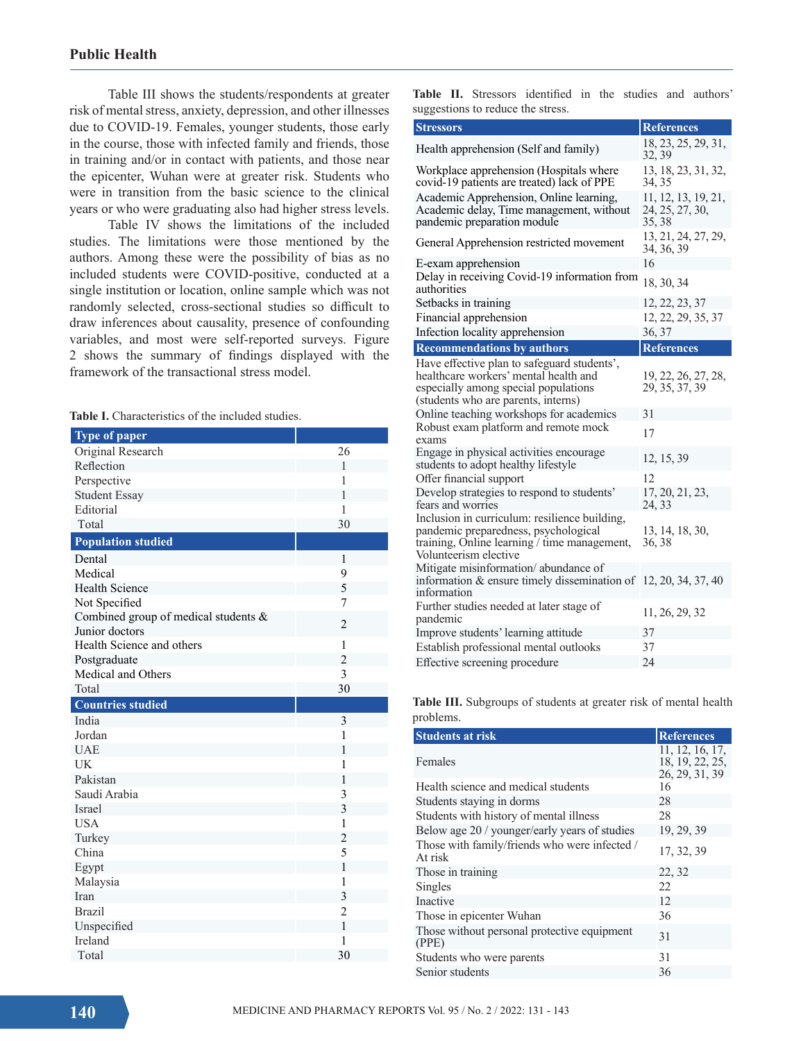Table III shows the students/respondents at greater risk of mental stress, anxiety, depression, and other illnesses due to COVID-19. Females, younger students, those early in the course, those with infected family and friends, those in training and/or in contact with patients, and those near the epicenter, Wuhan were at greater risk. Students who were in transition from the basic science to the clinical years or who were graduating also had higher stress levels.

Table IV shows the limitations of the included studies. The limitations were those mentioned by the authors. Among these were the possibility of bias as no included students were COVID-positive, conducted at a single institution or location, online sample which was not randomly selected, cross-sectional studies so difficult to draw inferences about causality, presence of confounding variables, and most were self-reported surveys. Figure 2 shows the summary of findings displayed with the framework of the transactional stress model.

Table I. Characteristics of the included studies.

| Type of paper                        |                |
|--------------------------------------|----------------|
| Original Research                    | 26             |
| Reflection                           | $\mathbf{1}$   |
| Perspective                          | 1              |
| <b>Student Essay</b>                 | 1              |
| Editorial                            | 1              |
| Total                                | 30             |
| <b>Population studied</b>            |                |
| Dental                               | $\mathbf{1}$   |
| Medical                              | 9              |
| <b>Health Science</b>                | 5              |
| Not Specified                        | 7              |
| Combined group of medical students & | 2              |
| Junior doctors                       |                |
| Health Science and others            | $\mathbf{1}$   |
| Postgraduate                         | $\overline{c}$ |
| Medical and Others                   | 3              |
| Total                                | 30             |
|                                      |                |
| <b>Countries studied</b>             |                |
| India                                | 3              |
| Jordan                               | 1              |
| <b>UAE</b>                           | 1              |
| <b>UK</b>                            | $\mathbf{1}$   |
| Pakistan                             | 1              |
| Saudi Arabia                         | 3              |
| <b>Israel</b>                        | 3              |
| <b>USA</b>                           | 1              |
| Turkey                               | $\overline{2}$ |
| China                                | 5              |
| Egypt                                | $\mathbf{1}$   |
| Malaysia                             | $\mathbf{1}$   |
| Iran                                 | $\overline{3}$ |
| <b>Brazil</b>                        | $\overline{c}$ |
| Unspecified                          | $\mathbf{1}$   |
| Ireland                              | 1              |

|  |                                   | <b>Table II.</b> Stressors identified in the studies and authors' |  |  |  |
|--|-----------------------------------|-------------------------------------------------------------------|--|--|--|
|  | suggestions to reduce the stress. |                                                                   |  |  |  |

| <b>Stressors</b>                                                                                                                                                    | <b>References</b>                                |
|---------------------------------------------------------------------------------------------------------------------------------------------------------------------|--------------------------------------------------|
| Health apprehension (Self and family)                                                                                                                               | 18, 23, 25, 29, 31,<br>32, 39                    |
| Workplace apprehension (Hospitals where<br>covid-19 patients are treated) lack of PPE                                                                               | 13, 18, 23, 31, 32,<br>34, 35                    |
| Academic Apprehension, Online learning,<br>Academic delay, Time management, without<br>pandemic preparation module                                                  | 11, 12, 13, 19, 21,<br>24, 25, 27, 30,<br>35, 38 |
| General Apprehension restricted movement                                                                                                                            | 13, 21, 24, 27, 29,<br>34, 36, 39                |
| E-exam apprehension                                                                                                                                                 | 16                                               |
| Delay in receiving Covid-19 information from<br>authorities                                                                                                         | 18, 30, 34                                       |
| Setbacks in training                                                                                                                                                | 12, 22, 23, 37                                   |
| Financial apprehension                                                                                                                                              | 12, 22, 29, 35, 37                               |
| Infection locality apprehension                                                                                                                                     | 36, 37                                           |
| <b>Recommendations by authors</b>                                                                                                                                   | <b>References</b>                                |
| Have effective plan to safeguard students',<br>healthcare workers' mental health and<br>especially among special populations<br>(students who are parents, interns) | 19, 22, 26, 27, 28,<br>29, 35, 37, 39            |
| Online teaching workshops for academics                                                                                                                             | 31                                               |
| Robust exam platform and remote mock<br>exams                                                                                                                       | 17                                               |
| Engage in physical activities encourage<br>students to adopt healthy lifestyle                                                                                      | 12, 15, 39                                       |
| Offer financial support                                                                                                                                             | 12                                               |
| Develop strategies to respond to students'<br>fears and worries                                                                                                     | 17, 20, 21, 23,<br>24, 33                        |
| Inclusion in curriculum: resilience building,<br>pandemic preparedness, psychological<br>training, Online learning / time management,<br>Volunteerism elective      | 13, 14, 18, 30,<br>36, 38                        |
| Mitigate misinformation/abundance of<br>information & ensure timely dissemination of $12, 20, 34, 37, 40$<br>information                                            |                                                  |
| Further studies needed at later stage of<br>pandemic                                                                                                                | 11, 26, 29, 32                                   |
| Improve students' learning attitude                                                                                                                                 | 37                                               |
| Establish professional mental outlooks                                                                                                                              | 37                                               |
| Effective screening procedure                                                                                                                                       | 24                                               |

**Table III.** Subgroups of students at greater risk of mental health problems.

| <b>Students at risk</b>                                  | <b>References</b>                                    |
|----------------------------------------------------------|------------------------------------------------------|
| Females                                                  | 11, 12, 16, 17,<br>18, 19, 22, 25,<br>26, 29, 31, 39 |
| Health science and medical students                      | 16                                                   |
| Students staying in dorms                                | 28                                                   |
| Students with history of mental illness                  | 28                                                   |
| Below age 20 / younger/early years of studies            | 19, 29, 39                                           |
| Those with family/friends who were infected /<br>At risk | 17, 32, 39                                           |
| Those in training                                        | 22, 32                                               |
| Singles                                                  | 22.                                                  |
| Inactive                                                 | 12                                                   |
| Those in epicenter Wuhan                                 | 36                                                   |
| Those without personal protective equipment<br>(PPE)     | 31                                                   |
| Students who were parents                                | 31                                                   |
| Senior students                                          | 36                                                   |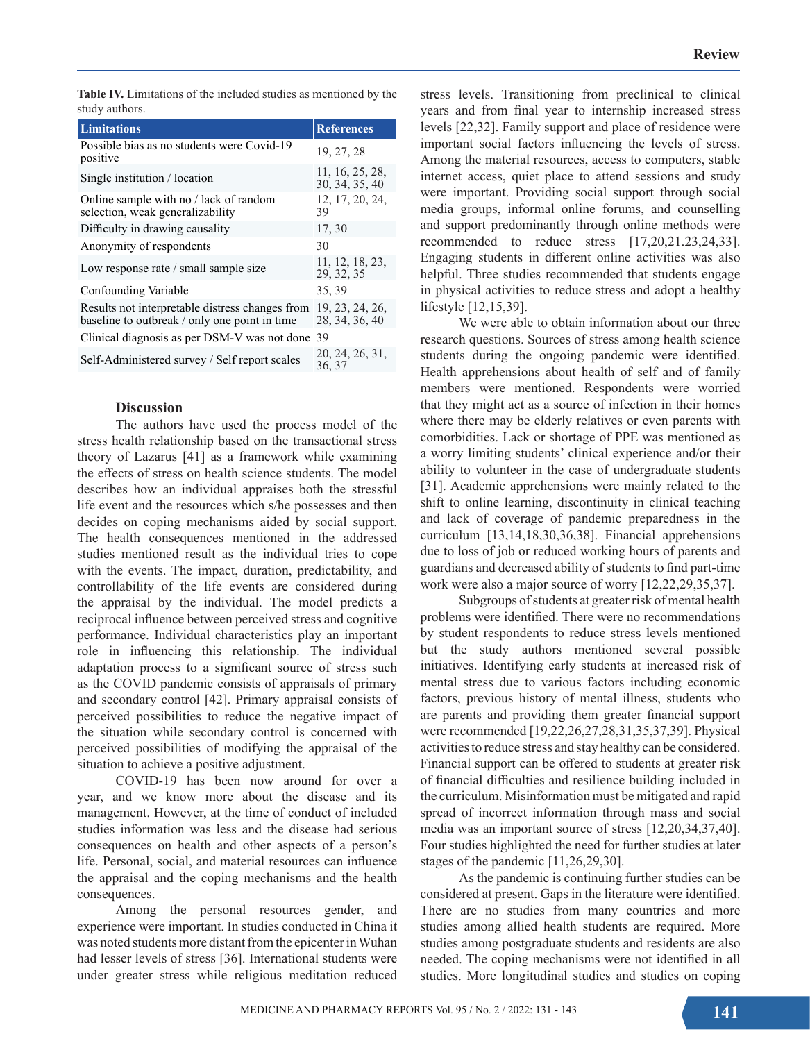**Table IV.** Limitations of the included studies as mentioned by the study authors.

| <b>Limitations</b>                                                                               | <b>References</b>                 |
|--------------------------------------------------------------------------------------------------|-----------------------------------|
| Possible bias as no students were Covid-19<br>positive                                           | 19, 27, 28                        |
| Single institution / location                                                                    | 11, 16, 25, 28,<br>30, 34, 35, 40 |
| Online sample with no / lack of random<br>selection, weak generalizability                       | 12, 17, 20, 24,<br>39             |
| Difficulty in drawing causality                                                                  | 17, 30                            |
| Anonymity of respondents                                                                         | 30                                |
| Low response rate / small sample size                                                            | 11, 12, 18, 23,<br>29, 32, 35     |
| Confounding Variable                                                                             | 35, 39                            |
| Results not interpretable distress changes from<br>baseline to outbreak / only one point in time | 19, 23, 24, 26,<br>28, 34, 36, 40 |
| Clinical diagnosis as per DSM-V was not done 39                                                  |                                   |
| Self-Administered survey / Self report scales                                                    | 20, 24, 26, 31,<br>36, 37         |

#### **Discussion**

The authors have used the process model of the stress health relationship based on the transactional stress theory of Lazarus [41] as a framework while examining the effects of stress on health science students. The model describes how an individual appraises both the stressful life event and the resources which s/he possesses and then decides on coping mechanisms aided by social support. The health consequences mentioned in the addressed studies mentioned result as the individual tries to cope with the events. The impact, duration, predictability, and controllability of the life events are considered during the appraisal by the individual. The model predicts a reciprocal influence between perceived stress and cognitive performance. Individual characteristics play an important role in influencing this relationship. The individual adaptation process to a significant source of stress such as the COVID pandemic consists of appraisals of primary and secondary control [42]. Primary appraisal consists of perceived possibilities to reduce the negative impact of the situation while secondary control is concerned with perceived possibilities of modifying the appraisal of the situation to achieve a positive adjustment.

COVID-19 has been now around for over a year, and we know more about the disease and its management. However, at the time of conduct of included studies information was less and the disease had serious consequences on health and other aspects of a person's life. Personal, social, and material resources can influence the appraisal and the coping mechanisms and the health consequences.

Among the personal resources gender, and experience were important. In studies conducted in China it was noted students more distant from the epicenter in Wuhan had lesser levels of stress [36]. International students were under greater stress while religious meditation reduced

stress levels. Transitioning from preclinical to clinical years and from final year to internship increased stress levels [22,32]. Family support and place of residence were important social factors influencing the levels of stress. Among the material resources, access to computers, stable internet access, quiet place to attend sessions and study were important. Providing social support through social media groups, informal online forums, and counselling and support predominantly through online methods were recommended to reduce stress [17,20,21.23,24,33]. Engaging students in different online activities was also helpful. Three studies recommended that students engage in physical activities to reduce stress and adopt a healthy lifestyle [12,15,39].

We were able to obtain information about our three research questions. Sources of stress among health science students during the ongoing pandemic were identified. Health apprehensions about health of self and of family members were mentioned. Respondents were worried that they might act as a source of infection in their homes where there may be elderly relatives or even parents with comorbidities. Lack or shortage of PPE was mentioned as a worry limiting students' clinical experience and/or their ability to volunteer in the case of undergraduate students [31]. Academic apprehensions were mainly related to the shift to online learning, discontinuity in clinical teaching and lack of coverage of pandemic preparedness in the curriculum [13,14,18,30,36,38]. Financial apprehensions due to loss of job or reduced working hours of parents and guardians and decreased ability of students to find part-time work were also a major source of worry [12,22,29,35,37].

Subgroups of students at greater risk of mental health problems were identified. There were no recommendations by student respondents to reduce stress levels mentioned but the study authors mentioned several possible initiatives. Identifying early students at increased risk of mental stress due to various factors including economic factors, previous history of mental illness, students who are parents and providing them greater financial support were recommended [19,22,26,27,28,31,35,37,39]. Physical activities to reduce stress and stay healthy can be considered. Financial support can be offered to students at greater risk of financial difficulties and resilience building included in the curriculum. Misinformation must be mitigated and rapid spread of incorrect information through mass and social media was an important source of stress [12,20,34,37,40]. Four studies highlighted the need for further studies at later stages of the pandemic [11,26,29,30].

As the pandemic is continuing further studies can be considered at present. Gaps in the literature were identified. There are no studies from many countries and more studies among allied health students are required. More studies among postgraduate students and residents are also needed. The coping mechanisms were not identified in all studies. More longitudinal studies and studies on coping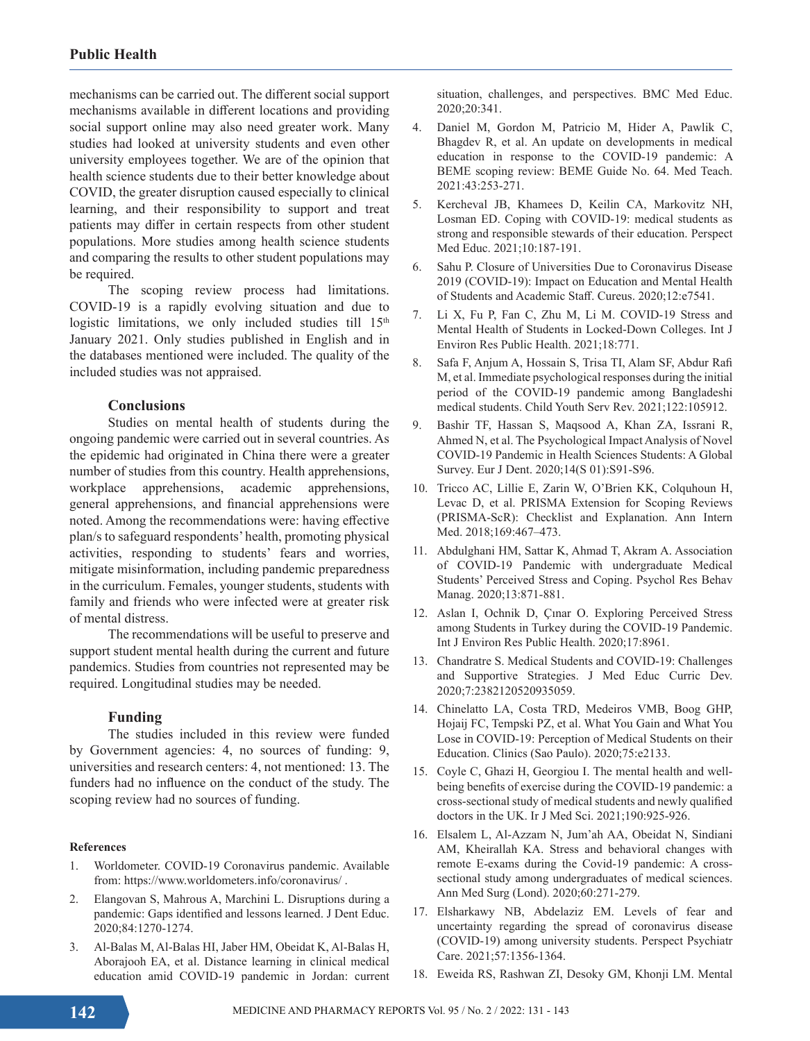mechanisms can be carried out. The different social support mechanisms available in different locations and providing social support online may also need greater work. Many studies had looked at university students and even other university employees together. We are of the opinion that health science students due to their better knowledge about COVID, the greater disruption caused especially to clinical learning, and their responsibility to support and treat patients may differ in certain respects from other student populations. More studies among health science students and comparing the results to other student populations may be required.

The scoping review process had limitations. COVID-19 is a rapidly evolving situation and due to logistic limitations, we only included studies till  $15<sup>th</sup>$ January 2021. Only studies published in English and in the databases mentioned were included. The quality of the included studies was not appraised.

#### **Conclusions**

Studies on mental health of students during the ongoing pandemic were carried out in several countries. As the epidemic had originated in China there were a greater number of studies from this country. Health apprehensions, workplace apprehensions, academic apprehensions, general apprehensions, and financial apprehensions were noted. Among the recommendations were: having effective plan/s to safeguard respondents' health, promoting physical activities, responding to students' fears and worries, mitigate misinformation, including pandemic preparedness in the curriculum. Females, younger students, students with family and friends who were infected were at greater risk of mental distress.

The recommendations will be useful to preserve and support student mental health during the current and future pandemics. Studies from countries not represented may be required. Longitudinal studies may be needed.

#### **Funding**

The studies included in this review were funded by Government agencies: 4, no sources of funding: 9, universities and research centers: 4, not mentioned: 13. The funders had no influence on the conduct of the study. The scoping review had no sources of funding.

#### **References**

- 1. Worldometer. COVID-19 Coronavirus pandemic. Available from: https://www.worldometers.info/coronavirus/ .
- 2. Elangovan S, Mahrous A, Marchini L. Disruptions during a pandemic: Gaps identified and lessons learned. J Dent Educ. 2020;84:1270-1274.
- 3. Al-Balas M, Al-Balas HI, Jaber HM, Obeidat K, Al-Balas H, Aborajooh EA, et al. Distance learning in clinical medical education amid COVID-19 pandemic in Jordan: current

situation, challenges, and perspectives. BMC Med Educ. 2020;20:341.

- 4. Daniel M, Gordon M, Patricio M, Hider A, Pawlik C, Bhagdev R, et al. An update on developments in medical education in response to the COVID-19 pandemic: A BEME scoping review: BEME Guide No. 64. Med Teach. 2021:43:253-271.
- 5. Kercheval JB, Khamees D, Keilin CA, Markovitz NH, Losman ED. Coping with COVID-19: medical students as strong and responsible stewards of their education. Perspect Med Educ. 2021;10:187-191.
- 6. Sahu P. Closure of Universities Due to Coronavirus Disease 2019 (COVID-19): Impact on Education and Mental Health of Students and Academic Staff. Cureus. 2020;12:e7541.
- 7. Li X, Fu P, Fan C, Zhu M, Li M. COVID-19 Stress and Mental Health of Students in Locked-Down Colleges. Int J Environ Res Public Health. 2021;18:771.
- 8. Safa F, Anjum A, Hossain S, Trisa TI, Alam SF, Abdur Rafi M, et al. Immediate psychological responses during the initial period of the COVID-19 pandemic among Bangladeshi medical students. Child Youth Serv Rev. 2021;122:105912.
- 9. Bashir TF, Hassan S, Maqsood A, Khan ZA, Issrani R, Ahmed N, et al. The Psychological Impact Analysis of Novel COVID-19 Pandemic in Health Sciences Students: A Global Survey. Eur J Dent. 2020;14(S 01):S91-S96.
- 10. Tricco AC, Lillie E, Zarin W, O'Brien KK, Colquhoun H, Levac D, et al. PRISMA Extension for Scoping Reviews (PRISMA-ScR): Checklist and Explanation. Ann Intern Med. 2018;169:467–473.
- 11. Abdulghani HM, Sattar K, Ahmad T, Akram A. Association of COVID-19 Pandemic with undergraduate Medical Students' Perceived Stress and Coping. Psychol Res Behav Manag. 2020;13:871-881.
- 12. Aslan I, Ochnik D, Çınar O. Exploring Perceived Stress among Students in Turkey during the COVID-19 Pandemic. Int J Environ Res Public Health. 2020;17:8961.
- 13. Chandratre S. Medical Students and COVID-19: Challenges and Supportive Strategies. J Med Educ Curric Dev. 2020;7:2382120520935059.
- 14. Chinelatto LA, Costa TRD, Medeiros VMB, Boog GHP, Hojaij FC, Tempski PZ, et al. What You Gain and What You Lose in COVID-19: Perception of Medical Students on their Education. Clinics (Sao Paulo). 2020;75:e2133.
- 15. Coyle C, Ghazi H, Georgiou I. The mental health and wellbeing benefits of exercise during the COVID-19 pandemic: a cross-sectional study of medical students and newly qualified doctors in the UK. Ir J Med Sci. 2021;190:925-926.
- 16. Elsalem L, Al-Azzam N, Jum'ah AA, Obeidat N, Sindiani AM, Kheirallah KA. Stress and behavioral changes with remote E-exams during the Covid-19 pandemic: A crosssectional study among undergraduates of medical sciences. Ann Med Surg (Lond). 2020;60:271-279.
- 17. Elsharkawy NB, Abdelaziz EM. Levels of fear and uncertainty regarding the spread of coronavirus disease (COVID-19) among university students. Perspect Psychiatr Care. 2021;57:1356-1364.
- 18. Eweida RS, Rashwan ZI, Desoky GM, Khonji LM. Mental